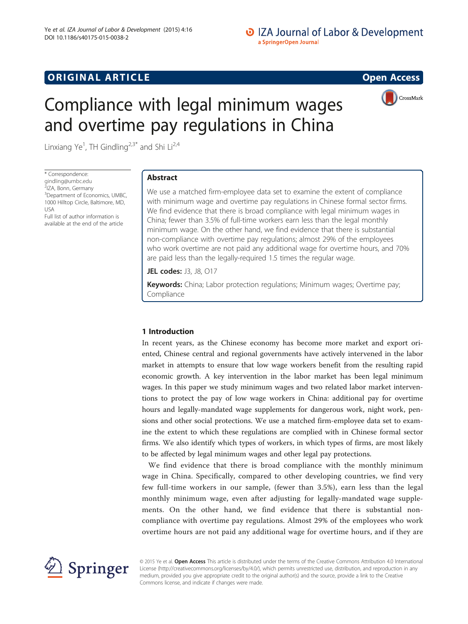## **ORIGINAL ARTICLE CONSERVANCE IN A LOCAL CONSERVANCE IN A LOCAL CONSERVANCE IN A LOCAL CONSERVANCE IN A LOCAL CONSERVANCE IN A LOCAL CONSERVANCE IN A LOCAL CONSERVANCE IN A LOCAL CONSERVANCE IN A LOCAL CONSERVANCE IN A L**

CrossMark

# Compliance with legal minimum wages and overtime pay regulations in China

Linxiang Ye<sup>1</sup>, TH Gindling<sup>2,3\*</sup> and Shi Li<sup>2,4</sup>

\* Correspondence: [gindling@umbc.edu](mailto:gindling@umbc.edu) <sup>2</sup>IZA, Bonn, Germany 3 Department of Economics, UMBC, 1000 Hilltop Circle, Baltimore, MD, USA Full list of author information is available at the end of the article

## Abstract

We use a matched firm-employee data set to examine the extent of compliance with minimum wage and overtime pay regulations in Chinese formal sector firms. We find evidence that there is broad compliance with legal minimum wages in China; fewer than 3.5% of full-time workers earn less than the legal monthly minimum wage. On the other hand, we find evidence that there is substantial non-compliance with overtime pay regulations; almost 29% of the employees who work overtime are not paid any additional wage for overtime hours, and 70% are paid less than the legally-required 1.5 times the regular wage.

JEL codes: J3, J8, O17

**Keywords:** China; Labor protection regulations; Minimum wages; Overtime pay; Compliance

## 1 Introduction

In recent years, as the Chinese economy has become more market and export oriented, Chinese central and regional governments have actively intervened in the labor market in attempts to ensure that low wage workers benefit from the resulting rapid economic growth. A key intervention in the labor market has been legal minimum wages. In this paper we study minimum wages and two related labor market interventions to protect the pay of low wage workers in China: additional pay for overtime hours and legally-mandated wage supplements for dangerous work, night work, pensions and other social protections. We use a matched firm-employee data set to examine the extent to which these regulations are complied with in Chinese formal sector firms. We also identify which types of workers, in which types of firms, are most likely to be affected by legal minimum wages and other legal pay protections.

We find evidence that there is broad compliance with the monthly minimum wage in China. Specifically, compared to other developing countries, we find very few full-time workers in our sample, (fewer than 3.5%), earn less than the legal monthly minimum wage, even after adjusting for legally-mandated wage supplements. On the other hand, we find evidence that there is substantial noncompliance with overtime pay regulations. Almost 29% of the employees who work overtime hours are not paid any additional wage for overtime hours, and if they are



© 2015 Ye et al. Open Access This article is distributed under the terms of the Creative Commons Attribution 4.0 International License (<http://creativecommons.org/licenses/by/4.0/>), which permits unrestricted use, distribution, and reproduction in any medium, provided you give appropriate credit to the original author(s) and the source, provide a link to the Creative Commons license, and indicate if changes were made.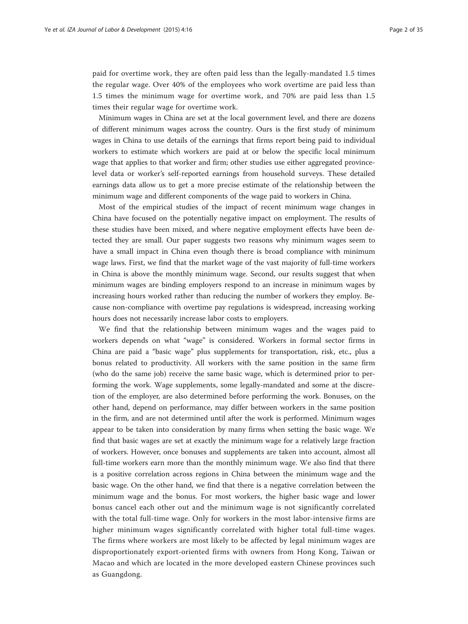paid for overtime work, they are often paid less than the legally-mandated 1.5 times the regular wage. Over 40% of the employees who work overtime are paid less than 1.5 times the minimum wage for overtime work, and 70% are paid less than 1.5 times their regular wage for overtime work.

Minimum wages in China are set at the local government level, and there are dozens of different minimum wages across the country. Ours is the first study of minimum wages in China to use details of the earnings that firms report being paid to individual workers to estimate which workers are paid at or below the specific local minimum wage that applies to that worker and firm; other studies use either aggregated provincelevel data or worker's self-reported earnings from household surveys. These detailed earnings data allow us to get a more precise estimate of the relationship between the minimum wage and different components of the wage paid to workers in China.

Most of the empirical studies of the impact of recent minimum wage changes in China have focused on the potentially negative impact on employment. The results of these studies have been mixed, and where negative employment effects have been detected they are small. Our paper suggests two reasons why minimum wages seem to have a small impact in China even though there is broad compliance with minimum wage laws. First, we find that the market wage of the vast majority of full-time workers in China is above the monthly minimum wage. Second, our results suggest that when minimum wages are binding employers respond to an increase in minimum wages by increasing hours worked rather than reducing the number of workers they employ. Because non-compliance with overtime pay regulations is widespread, increasing working hours does not necessarily increase labor costs to employers.

We find that the relationship between minimum wages and the wages paid to workers depends on what "wage" is considered. Workers in formal sector firms in China are paid a "basic wage" plus supplements for transportation, risk, etc., plus a bonus related to productivity. All workers with the same position in the same firm (who do the same job) receive the same basic wage, which is determined prior to performing the work. Wage supplements, some legally-mandated and some at the discretion of the employer, are also determined before performing the work. Bonuses, on the other hand, depend on performance, may differ between workers in the same position in the firm, and are not determined until after the work is performed. Minimum wages appear to be taken into consideration by many firms when setting the basic wage. We find that basic wages are set at exactly the minimum wage for a relatively large fraction of workers. However, once bonuses and supplements are taken into account, almost all full-time workers earn more than the monthly minimum wage. We also find that there is a positive correlation across regions in China between the minimum wage and the basic wage. On the other hand, we find that there is a negative correlation between the minimum wage and the bonus. For most workers, the higher basic wage and lower bonus cancel each other out and the minimum wage is not significantly correlated with the total full-time wage. Only for workers in the most labor-intensive firms are higher minimum wages significantly correlated with higher total full-time wages. The firms where workers are most likely to be affected by legal minimum wages are disproportionately export-oriented firms with owners from Hong Kong, Taiwan or Macao and which are located in the more developed eastern Chinese provinces such as Guangdong.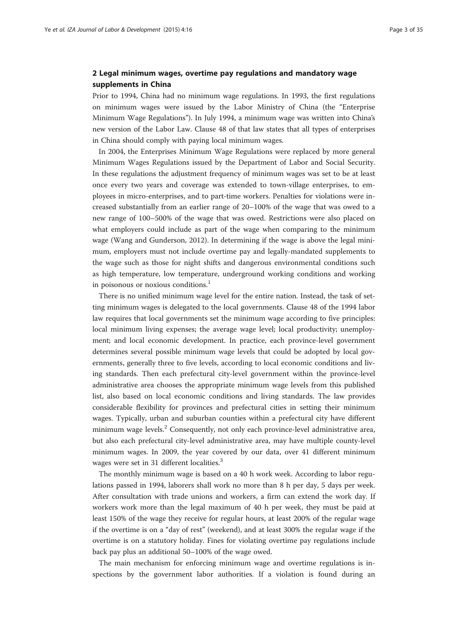## 2 Legal minimum wages, overtime pay regulations and mandatory wage supplements in China

Prior to 1994, China had no minimum wage regulations. In 1993, the first regulations on minimum wages were issued by the Labor Ministry of China (the "Enterprise Minimum Wage Regulations"). In July 1994, a minimum wage was written into China's new version of the Labor Law. Clause 48 of that law states that all types of enterprises in China should comply with paying local minimum wages.

In 2004, the Enterprises Minimum Wage Regulations were replaced by more general Minimum Wages Regulations issued by the Department of Labor and Social Security. In these regulations the adjustment frequency of minimum wages was set to be at least once every two years and coverage was extended to town-village enterprises, to employees in micro-enterprises, and to part-time workers. Penalties for violations were increased substantially from an earlier range of 20–100% of the wage that was owed to a new range of 100–500% of the wage that was owed. Restrictions were also placed on what employers could include as part of the wage when comparing to the minimum wage (Wang and Gunderson, [2012\)](#page-34-0). In determining if the wage is above the legal minimum, employers must not include overtime pay and legally-mandated supplements to the wage such as those for night shifts and dangerous environmental conditions such as high temperature, low temperature, underground working conditions and working in poisonous or noxious conditions.<sup>1</sup>

There is no unified minimum wage level for the entire nation. Instead, the task of setting minimum wages is delegated to the local governments. Clause 48 of the 1994 labor law requires that local governments set the minimum wage according to five principles: local minimum living expenses; the average wage level; local productivity; unemployment; and local economic development. In practice, each province-level government determines several possible minimum wage levels that could be adopted by local governments, generally three to five levels, according to local economic conditions and living standards. Then each prefectural city-level government within the province-level administrative area chooses the appropriate minimum wage levels from this published list, also based on local economic conditions and living standards. The law provides considerable flexibility for provinces and prefectural cities in setting their minimum wages. Typically, urban and suburban counties within a prefectural city have different minimum wage levels.<sup>2</sup> Consequently, not only each province-level administrative area, but also each prefectural city-level administrative area, may have multiple county-level minimum wages. In 2009, the year covered by our data, over 41 different minimum wages were set in 31 different localities.<sup>3</sup>

The monthly minimum wage is based on a 40 h work week. According to labor regulations passed in 1994, laborers shall work no more than 8 h per day, 5 days per week. After consultation with trade unions and workers, a firm can extend the work day. If workers work more than the legal maximum of 40 h per week, they must be paid at least 150% of the wage they receive for regular hours, at least 200% of the regular wage if the overtime is on a "day of rest" (weekend), and at least 300% the regular wage if the overtime is on a statutory holiday. Fines for violating overtime pay regulations include back pay plus an additional 50–100% of the wage owed.

The main mechanism for enforcing minimum wage and overtime regulations is inspections by the government labor authorities. If a violation is found during an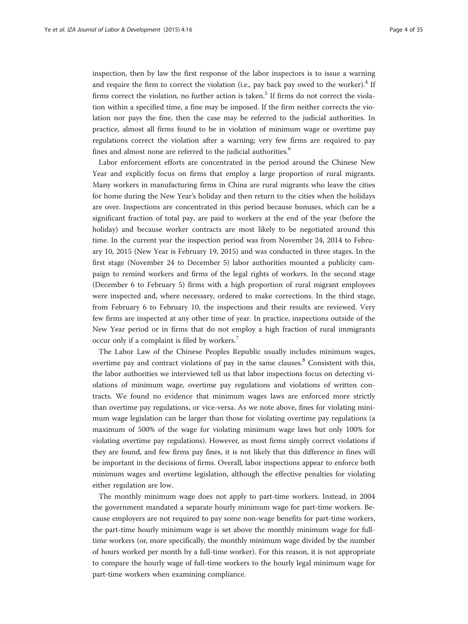inspection, then by law the first response of the labor inspectors is to issue a warning and require the firm to correct the violation (i.e., pay back pay owed to the worker). $4$  If firms correct the violation, no further action is taken.<sup>5</sup> If firms do not correct the violation within a specified time, a fine may be imposed. If the firm neither corrects the violation nor pays the fine, then the case may be referred to the judicial authorities. In practice, almost all firms found to be in violation of minimum wage or overtime pay regulations correct the violation after a warning; very few firms are required to pay fines and almost none are referred to the judicial authorities.<sup>6</sup>

Labor enforcement efforts are concentrated in the period around the Chinese New Year and explicitly focus on firms that employ a large proportion of rural migrants. Many workers in manufacturing firms in China are rural migrants who leave the cities for home during the New Year's holiday and then return to the cities when the holidays are over. Inspections are concentrated in this period because bonuses, which can be a significant fraction of total pay, are paid to workers at the end of the year (before the holiday) and because worker contracts are most likely to be negotiated around this time. In the current year the inspection period was from November 24, 2014 to February 10, 2015 (New Year is February 19, 2015) and was conducted in three stages. In the first stage (November 24 to December 5) labor authorities mounted a publicity campaign to remind workers and firms of the legal rights of workers. In the second stage (December 6 to February 5) firms with a high proportion of rural migrant employees were inspected and, where necessary, ordered to make corrections. In the third stage, from February 6 to February 10, the inspections and their results are reviewed. Very few firms are inspected at any other time of year. In practice, inspections outside of the New Year period or in firms that do not employ a high fraction of rural immigrants occur only if a complaint is filed by workers.<sup>7</sup>

The Labor Law of the Chinese Peoples Republic usually includes minimum wages, overtime pay and contract violations of pay in the same clauses.<sup>8</sup> Consistent with this, the labor authorities we interviewed tell us that labor inspections focus on detecting violations of minimum wage, overtime pay regulations and violations of written contracts. We found no evidence that minimum wages laws are enforced more strictly than overtime pay regulations, or vice-versa. As we note above, fines for violating minimum wage legislation can be larger than those for violating overtime pay regulations (a maximum of 500% of the wage for violating minimum wage laws but only 100% for violating overtime pay regulations). However, as most firms simply correct violations if they are found, and few firms pay fines, it is not likely that this difference in fines will be important in the decisions of firms. Overall, labor inspections appear to enforce both minimum wages and overtime legislation, although the effective penalties for violating either regulation are low.

The monthly minimum wage does not apply to part-time workers. Instead, in 2004 the government mandated a separate hourly minimum wage for part-time workers. Because employers are not required to pay some non-wage benefits for part-time workers, the part-time hourly minimum wage is set above the monthly minimum wage for fulltime workers (or, more specifically, the monthly minimum wage divided by the number of hours worked per month by a full-time worker). For this reason, it is not appropriate to compare the hourly wage of full-time workers to the hourly legal minimum wage for part-time workers when examining compliance.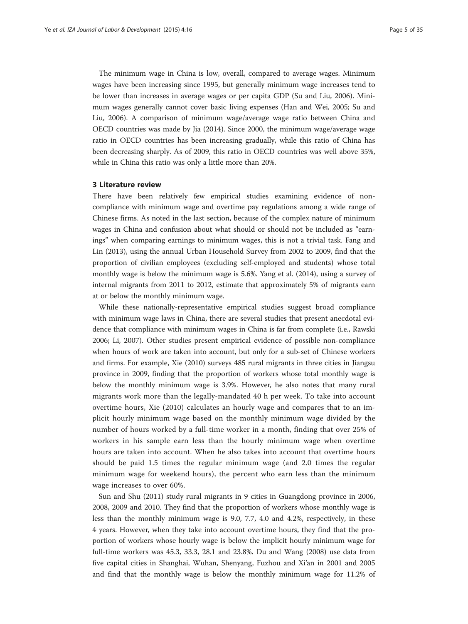The minimum wage in China is low, overall, compared to average wages. Minimum wages have been increasing since 1995, but generally minimum wage increases tend to be lower than increases in average wages or per capita GDP (Su and Liu, [2006\)](#page-33-0). Minimum wages generally cannot cover basic living expenses (Han and Wei, [2005;](#page-33-0) Su and Liu, [2006](#page-33-0)). A comparison of minimum wage/average wage ratio between China and OECD countries was made by Jia ([2014\)](#page-33-0). Since 2000, the minimum wage/average wage ratio in OECD countries has been increasing gradually, while this ratio of China has been decreasing sharply. As of 2009, this ratio in OECD countries was well above 35%, while in China this ratio was only a little more than 20%.

#### 3 Literature review

There have been relatively few empirical studies examining evidence of noncompliance with minimum wage and overtime pay regulations among a wide range of Chinese firms. As noted in the last section, because of the complex nature of minimum wages in China and confusion about what should or should not be included as "earnings" when comparing earnings to minimum wages, this is not a trivial task. Fang and Lin [\(2013](#page-33-0)), using the annual Urban Household Survey from 2002 to 2009, find that the proportion of civilian employees (excluding self-employed and students) whose total monthly wage is below the minimum wage is 5.6%. Yang et al. ([2014](#page-34-0)), using a survey of internal migrants from 2011 to 2012, estimate that approximately 5% of migrants earn at or below the monthly minimum wage.

While these nationally-representative empirical studies suggest broad compliance with minimum wage laws in China, there are several studies that present anecdotal evidence that compliance with minimum wages in China is far from complete (i.e., Rawski [2006](#page-33-0); Li, [2007](#page-33-0)). Other studies present empirical evidence of possible non-compliance when hours of work are taken into account, but only for a sub-set of Chinese workers and firms. For example, Xie ([2010](#page-34-0)) surveys 485 rural migrants in three cities in Jiangsu province in 2009, finding that the proportion of workers whose total monthly wage is below the monthly minimum wage is 3.9%. However, he also notes that many rural migrants work more than the legally-mandated 40 h per week. To take into account overtime hours, Xie ([2010\)](#page-34-0) calculates an hourly wage and compares that to an implicit hourly minimum wage based on the monthly minimum wage divided by the number of hours worked by a full-time worker in a month, finding that over 25% of workers in his sample earn less than the hourly minimum wage when overtime hours are taken into account. When he also takes into account that overtime hours should be paid 1.5 times the regular minimum wage (and 2.0 times the regular minimum wage for weekend hours), the percent who earn less than the minimum wage increases to over 60%.

Sun and Shu [\(2011](#page-33-0)) study rural migrants in 9 cities in Guangdong province in 2006, 2008, 2009 and 2010. They find that the proportion of workers whose monthly wage is less than the monthly minimum wage is 9.0, 7.7, 4.0 and 4.2%, respectively, in these 4 years. However, when they take into account overtime hours, they find that the proportion of workers whose hourly wage is below the implicit hourly minimum wage for full-time workers was 45.3, 33.3, 28.1 and 23.8%. Du and Wang ([2008\)](#page-33-0) use data from five capital cities in Shanghai, Wuhan, Shenyang, Fuzhou and Xi'an in 2001 and 2005 and find that the monthly wage is below the monthly minimum wage for 11.2% of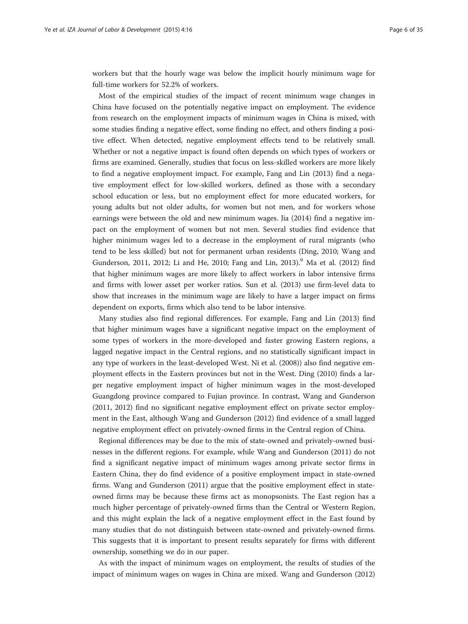workers but that the hourly wage was below the implicit hourly minimum wage for full-time workers for 52.2% of workers.

Most of the empirical studies of the impact of recent minimum wage changes in China have focused on the potentially negative impact on employment. The evidence from research on the employment impacts of minimum wages in China is mixed, with some studies finding a negative effect, some finding no effect, and others finding a positive effect. When detected, negative employment effects tend to be relatively small. Whether or not a negative impact is found often depends on which types of workers or firms are examined. Generally, studies that focus on less-skilled workers are more likely to find a negative employment impact. For example, Fang and Lin [\(2013\)](#page-33-0) find a negative employment effect for low-skilled workers, defined as those with a secondary school education or less, but no employment effect for more educated workers, for young adults but not older adults, for women but not men, and for workers whose earnings were between the old and new minimum wages. Jia ([2014\)](#page-33-0) find a negative impact on the employment of women but not men. Several studies find evidence that higher minimum wages led to a decrease in the employment of rural migrants (who tend to be less skilled) but not for permanent urban residents (Ding, [2010;](#page-33-0) Wang and Gunderson, [2011, 2012;](#page-34-0) Li and He, [2010](#page-33-0); Fang and Lin, [2013\)](#page-33-0).<sup>9</sup> Ma et al. ([2012](#page-33-0)) find that higher minimum wages are more likely to affect workers in labor intensive firms and firms with lower asset per worker ratios. Sun et al. [\(2013](#page-33-0)) use firm-level data to show that increases in the minimum wage are likely to have a larger impact on firms dependent on exports, firms which also tend to be labor intensive.

Many studies also find regional differences. For example, Fang and Lin ([2013](#page-33-0)) find that higher minimum wages have a significant negative impact on the employment of some types of workers in the more-developed and faster growing Eastern regions, a lagged negative impact in the Central regions, and no statistically significant impact in any type of workers in the least-developed West. Ni et al. [\(2008](#page-33-0))) also find negative employment effects in the Eastern provinces but not in the West. Ding ([2010](#page-33-0)) finds a larger negative employment impact of higher minimum wages in the most-developed Guangdong province compared to Fujian province. In contrast, Wang and Gunderson ([2011](#page-34-0), [2012\)](#page-34-0) find no significant negative employment effect on private sector employment in the East, although Wang and Gunderson [\(2012\)](#page-34-0) find evidence of a small lagged negative employment effect on privately-owned firms in the Central region of China.

Regional differences may be due to the mix of state-owned and privately-owned businesses in the different regions. For example, while Wang and Gunderson ([2011](#page-34-0)) do not find a significant negative impact of minimum wages among private sector firms in Eastern China, they do find evidence of a positive employment impact in state-owned firms. Wang and Gunderson [\(2011\)](#page-34-0) argue that the positive employment effect in stateowned firms may be because these firms act as monopsonists. The East region has a much higher percentage of privately-owned firms than the Central or Western Region, and this might explain the lack of a negative employment effect in the East found by many studies that do not distinguish between state-owned and privately-owned firms. This suggests that it is important to present results separately for firms with different ownership, something we do in our paper.

As with the impact of minimum wages on employment, the results of studies of the impact of minimum wages on wages in China are mixed. Wang and Gunderson ([2012](#page-34-0))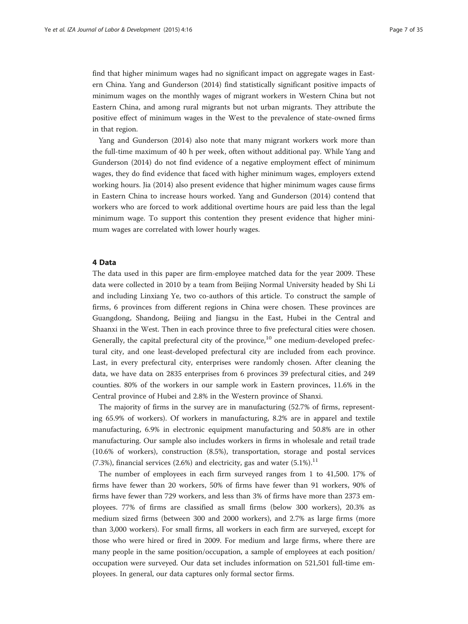find that higher minimum wages had no significant impact on aggregate wages in Eastern China. Yang and Gunderson [\(2014\)](#page-34-0) find statistically significant positive impacts of minimum wages on the monthly wages of migrant workers in Western China but not Eastern China, and among rural migrants but not urban migrants. They attribute the positive effect of minimum wages in the West to the prevalence of state-owned firms in that region.

Yang and Gunderson [\(2014](#page-34-0)) also note that many migrant workers work more than the full-time maximum of 40 h per week, often without additional pay. While Yang and Gunderson [\(2014\)](#page-34-0) do not find evidence of a negative employment effect of minimum wages, they do find evidence that faced with higher minimum wages, employers extend working hours. Jia ([2014\)](#page-33-0) also present evidence that higher minimum wages cause firms in Eastern China to increase hours worked. Yang and Gunderson [\(2014\)](#page-34-0) contend that workers who are forced to work additional overtime hours are paid less than the legal minimum wage. To support this contention they present evidence that higher minimum wages are correlated with lower hourly wages.

#### 4 Data

The data used in this paper are firm-employee matched data for the year 2009. These data were collected in 2010 by a team from Beijing Normal University headed by Shi Li and including Linxiang Ye, two co-authors of this article. To construct the sample of firms, 6 provinces from different regions in China were chosen. These provinces are Guangdong, Shandong, Beijing and Jiangsu in the East, Hubei in the Central and Shaanxi in the West. Then in each province three to five prefectural cities were chosen. Generally, the capital prefectural city of the province, $10$  one medium-developed prefectural city, and one least-developed prefectural city are included from each province. Last, in every prefectural city, enterprises were randomly chosen. After cleaning the data, we have data on 2835 enterprises from 6 provinces 39 prefectural cities, and 249 counties. 80% of the workers in our sample work in Eastern provinces, 11.6% in the Central province of Hubei and 2.8% in the Western province of Shanxi.

The majority of firms in the survey are in manufacturing (52.7% of firms, representing 65.9% of workers). Of workers in manufacturing, 8.2% are in apparel and textile manufacturing, 6.9% in electronic equipment manufacturing and 50.8% are in other manufacturing. Our sample also includes workers in firms in wholesale and retail trade (10.6% of workers), construction (8.5%), transportation, storage and postal services  $(7.3\%)$ , financial services (2.6%) and electricity, gas and water  $(5.1\%)$ <sup>11</sup>

The number of employees in each firm surveyed ranges from 1 to 41,500. 17% of firms have fewer than 20 workers, 50% of firms have fewer than 91 workers, 90% of firms have fewer than 729 workers, and less than 3% of firms have more than 2373 employees. 77% of firms are classified as small firms (below 300 workers), 20.3% as medium sized firms (between 300 and 2000 workers), and 2.7% as large firms (more than 3,000 workers). For small firms, all workers in each firm are surveyed, except for those who were hired or fired in 2009. For medium and large firms, where there are many people in the same position/occupation, a sample of employees at each position/ occupation were surveyed. Our data set includes information on 521,501 full-time employees. In general, our data captures only formal sector firms.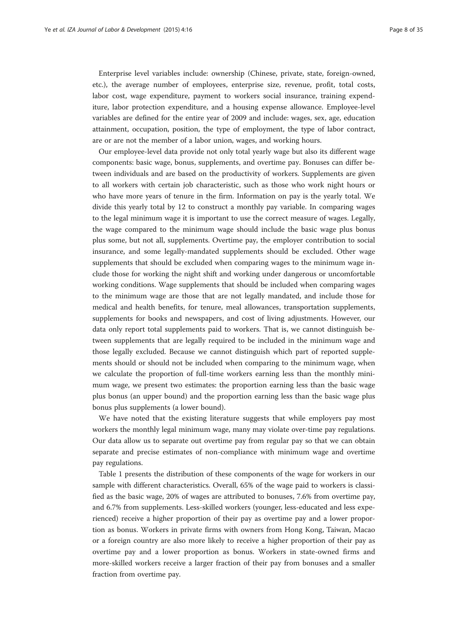Enterprise level variables include: ownership (Chinese, private, state, foreign-owned, etc.), the average number of employees, enterprise size, revenue, profit, total costs, labor cost, wage expenditure, payment to workers social insurance, training expenditure, labor protection expenditure, and a housing expense allowance. Employee-level variables are defined for the entire year of 2009 and include: wages, sex, age, education attainment, occupation, position, the type of employment, the type of labor contract, are or are not the member of a labor union, wages, and working hours.

Our employee-level data provide not only total yearly wage but also its different wage components: basic wage, bonus, supplements, and overtime pay. Bonuses can differ between individuals and are based on the productivity of workers. Supplements are given to all workers with certain job characteristic, such as those who work night hours or who have more years of tenure in the firm. Information on pay is the yearly total. We divide this yearly total by 12 to construct a monthly pay variable. In comparing wages to the legal minimum wage it is important to use the correct measure of wages. Legally, the wage compared to the minimum wage should include the basic wage plus bonus plus some, but not all, supplements. Overtime pay, the employer contribution to social insurance, and some legally-mandated supplements should be excluded. Other wage supplements that should be excluded when comparing wages to the minimum wage include those for working the night shift and working under dangerous or uncomfortable working conditions. Wage supplements that should be included when comparing wages to the minimum wage are those that are not legally mandated, and include those for medical and health benefits, for tenure, meal allowances, transportation supplements, supplements for books and newspapers, and cost of living adjustments. However, our data only report total supplements paid to workers. That is, we cannot distinguish between supplements that are legally required to be included in the minimum wage and those legally excluded. Because we cannot distinguish which part of reported supplements should or should not be included when comparing to the minimum wage, when we calculate the proportion of full-time workers earning less than the monthly minimum wage, we present two estimates: the proportion earning less than the basic wage plus bonus (an upper bound) and the proportion earning less than the basic wage plus bonus plus supplements (a lower bound).

We have noted that the existing literature suggests that while employers pay most workers the monthly legal minimum wage, many may violate over-time pay regulations. Our data allow us to separate out overtime pay from regular pay so that we can obtain separate and precise estimates of non-compliance with minimum wage and overtime pay regulations.

Table [1](#page-8-0) presents the distribution of these components of the wage for workers in our sample with different characteristics. Overall, 65% of the wage paid to workers is classified as the basic wage, 20% of wages are attributed to bonuses, 7.6% from overtime pay, and 6.7% from supplements. Less-skilled workers (younger, less-educated and less experienced) receive a higher proportion of their pay as overtime pay and a lower proportion as bonus. Workers in private firms with owners from Hong Kong, Taiwan, Macao or a foreign country are also more likely to receive a higher proportion of their pay as overtime pay and a lower proportion as bonus. Workers in state-owned firms and more-skilled workers receive a larger fraction of their pay from bonuses and a smaller fraction from overtime pay.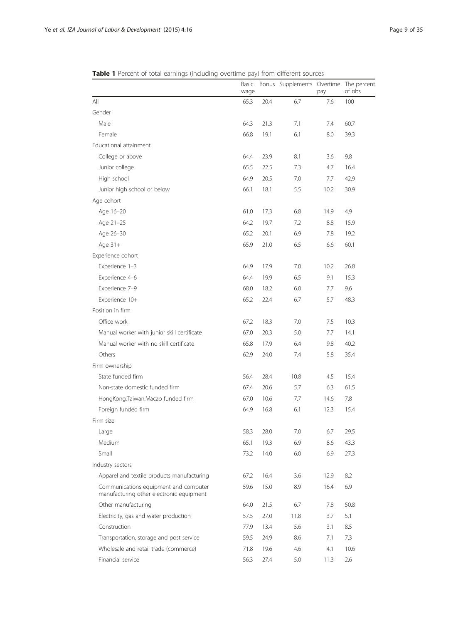## <span id="page-8-0"></span>Table 1 Percent of total earnings (including overtime pay) from different sources

|                                                                                   | Basic<br>wage |      | Bonus Supplements Overtime The percent | pay  | of obs |
|-----------------------------------------------------------------------------------|---------------|------|----------------------------------------|------|--------|
| All                                                                               | 65.3          | 20.4 | 6.7                                    | 7.6  | 100    |
| Gender                                                                            |               |      |                                        |      |        |
| Male                                                                              | 64.3          | 21.3 | 7.1                                    | 7.4  | 60.7   |
| Female                                                                            | 66.8          | 19.1 | 6.1                                    | 8.0  | 39.3   |
| Educational attainment                                                            |               |      |                                        |      |        |
| College or above                                                                  | 64.4          | 23.9 | 8.1                                    | 3.6  | 9.8    |
| Junior college                                                                    | 65.5          | 22.5 | 7.3                                    | 4.7  | 16.4   |
| High school                                                                       | 64.9          | 20.5 | 7.0                                    | 7.7  | 42.9   |
| Junior high school or below                                                       | 66.1          | 18.1 | 5.5                                    | 10.2 | 30.9   |
| Age cohort                                                                        |               |      |                                        |      |        |
| Age 16-20                                                                         | 61.0          | 17.3 | 6.8                                    | 14.9 | 4.9    |
| Age 21-25                                                                         | 64.2          | 19.7 | 7.2                                    | 8.8  | 15.9   |
| Age 26-30                                                                         | 65.2          | 20.1 | 6.9                                    | 7.8  | 19.2   |
| Age 31+                                                                           | 65.9          | 21.0 | 6.5                                    | 6.6  | 60.1   |
| Experience cohort                                                                 |               |      |                                        |      |        |
| Experience 1-3                                                                    | 64.9          | 17.9 | 7.0                                    | 10.2 | 26.8   |
| Experience 4-6                                                                    | 64.4          | 19.9 | 6.5                                    | 9.1  | 15.3   |
| Experience 7-9                                                                    | 68.0          | 18.2 | 6.0                                    | 7.7  | 9.6    |
| Experience 10+                                                                    | 65.2          | 22.4 | 6.7                                    | 5.7  | 48.3   |
| Position in firm                                                                  |               |      |                                        |      |        |
| Office work                                                                       | 67.2          | 18.3 | 7.0                                    | 7.5  | 10.3   |
| Manual worker with junior skill certificate                                       | 67.0          | 20.3 | 5.0                                    | 7.7  | 14.1   |
| Manual worker with no skill certificate                                           | 65.8          | 17.9 | 6.4                                    | 9.8  | 40.2   |
| Others                                                                            | 62.9          | 24.0 | 7.4                                    | 5.8  | 35.4   |
| Firm ownership                                                                    |               |      |                                        |      |        |
| State funded firm                                                                 | 56.4          | 28.4 | 10.8                                   | 4.5  | 15.4   |
| Non-state domestic funded firm                                                    | 67.4          | 20.6 | 5.7                                    | 6.3  | 61.5   |
| HongKong,Taiwan,Macao funded firm                                                 | 67.0          | 10.6 | 7.7                                    | 14.6 | 7.8    |
| Foreign funded firm                                                               | 64.9          | 16.8 | 6.1                                    | 12.3 | 15.4   |
| Firm size                                                                         |               |      |                                        |      |        |
| Large                                                                             | 58.3          | 28.0 | 7.0                                    | 6.7  | 29.5   |
| Medium                                                                            | 65.1          | 19.3 | 6.9                                    | 8.6  | 43.3   |
| Small                                                                             | 73.2          | 14.0 | 6.0                                    | 6.9  | 27.3   |
| Industry sectors                                                                  |               |      |                                        |      |        |
| Apparel and textile products manufacturing                                        | 67.2          | 16.4 | 3.6                                    | 12.9 | 8.2    |
| Communications equipment and computer<br>manufacturing other electronic equipment | 59.6          | 15.0 | 8.9                                    | 16.4 | 6.9    |
| Other manufacturing                                                               | 64.0          | 21.5 | 6.7                                    | 7.8  | 50.8   |
| Electricity, gas and water production                                             | 57.5          | 27.0 | 11.8                                   | 3.7  | 5.1    |
| Construction                                                                      | 77.9          | 13.4 | 5.6                                    | 3.1  | 8.5    |
| Transportation, storage and post service                                          | 59.5          | 24.9 | 8.6                                    | 7.1  | 7.3    |
| Wholesale and retail trade (commerce)                                             | 71.8          | 19.6 | 4.6                                    | 4.1  | 10.6   |
| Financial service                                                                 | 56.3          | 27.4 | 5.0                                    | 11.3 | 2.6    |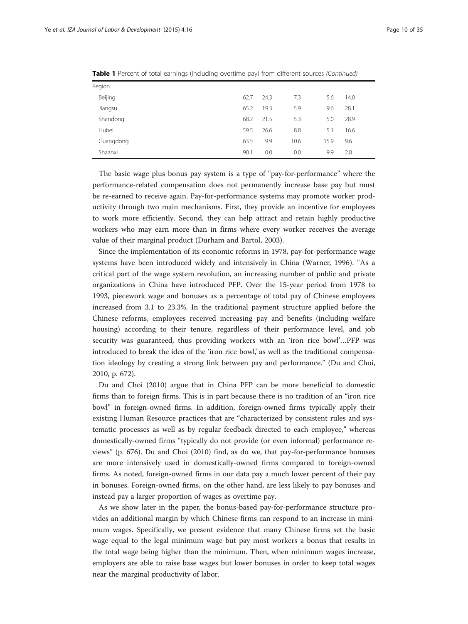| Region    |      |      |      |      |      |  |
|-----------|------|------|------|------|------|--|
| Beijing   | 62.7 | 24.3 | 7.3  | 5.6  | 14.0 |  |
| Jiangsu   | 65.2 | 19.3 | 5.9  | 9.6  | 28.1 |  |
| Shandong  | 68.2 | 21.5 | 5.3  | 5.0  | 28.9 |  |
| Hubei     | 59.5 | 26.6 | 8.8  | 5.1  | 16.6 |  |
| Guangdong | 63.5 | 9.9  | 10.6 | 15.9 | 9.6  |  |
| Shaanxi   | 90.1 | 0.0  | 0.0  | 9.9  | 2.8  |  |
|           |      |      |      |      |      |  |

Table 1 Percent of total earnings (including overtime pay) from different sources (Continued)

The basic wage plus bonus pay system is a type of "pay-for-performance" where the performance-related compensation does not permanently increase base pay but must be re-earned to receive again. Pay-for-performance systems may promote worker productivity through two main mechanisms. First, they provide an incentive for employees to work more efficiently. Second, they can help attract and retain highly productive workers who may earn more than in firms where every worker receives the average value of their marginal product (Durham and Bartol, [2003](#page-33-0)).

Since the implementation of its economic reforms in 1978, pay-for-performance wage systems have been introduced widely and intensively in China (Warner, [1996](#page-34-0)). "As a critical part of the wage system revolution, an increasing number of public and private organizations in China have introduced PFP. Over the 15-year period from 1978 to 1993, piecework wage and bonuses as a percentage of total pay of Chinese employees increased from 3.1 to 23.3%. In the traditional payment structure applied before the Chinese reforms, employees received increasing pay and benefits (including welfare housing) according to their tenure, regardless of their performance level, and job security was guaranteed, thus providing workers with an 'iron rice bowl'…PFP was introduced to break the idea of the 'iron rice bowl,' as well as the traditional compensation ideology by creating a strong link between pay and performance." (Du and Choi, [2010](#page-33-0), p. 672).

Du and Choi [\(2010](#page-33-0)) argue that in China PFP can be more beneficial to domestic firms than to foreign firms. This is in part because there is no tradition of an "iron rice bowl" in foreign-owned firms. In addition, foreign-owned firms typically apply their existing Human Resource practices that are "characterized by consistent rules and systematic processes as well as by regular feedback directed to each employee," whereas domestically-owned firms "typically do not provide (or even informal) performance reviews" (p. 676). Du and Choi ([2010\)](#page-33-0) find, as do we, that pay-for-performance bonuses are more intensively used in domestically-owned firms compared to foreign-owned firms. As noted, foreign-owned firms in our data pay a much lower percent of their pay in bonuses. Foreign-owned firms, on the other hand, are less likely to pay bonuses and instead pay a larger proportion of wages as overtime pay.

As we show later in the paper, the bonus-based pay-for-performance structure provides an additional margin by which Chinese firms can respond to an increase in minimum wages. Specifically, we present evidence that many Chinese firms set the basic wage equal to the legal minimum wage but pay most workers a bonus that results in the total wage being higher than the minimum. Then, when minimum wages increase, employers are able to raise base wages but lower bonuses in order to keep total wages near the marginal productivity of labor.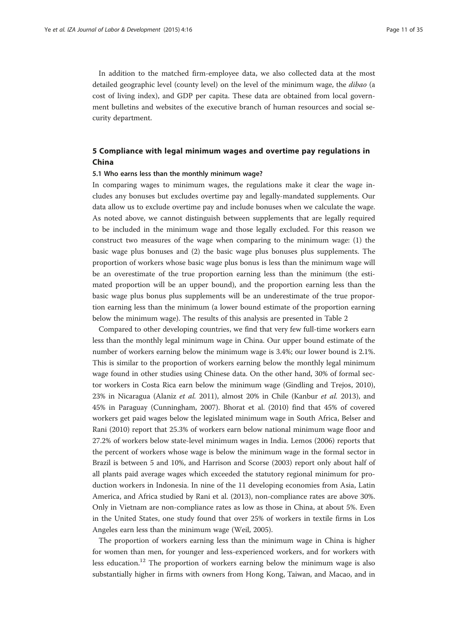In addition to the matched firm-employee data, we also collected data at the most detailed geographic level (county level) on the level of the minimum wage, the dibao (a cost of living index), and GDP per capita. These data are obtained from local government bulletins and websites of the executive branch of human resources and social security department.

## 5 Compliance with legal minimum wages and overtime pay regulations in China

#### 5.1 Who earns less than the monthly minimum wage?

In comparing wages to minimum wages, the regulations make it clear the wage includes any bonuses but excludes overtime pay and legally-mandated supplements. Our data allow us to exclude overtime pay and include bonuses when we calculate the wage. As noted above, we cannot distinguish between supplements that are legally required to be included in the minimum wage and those legally excluded. For this reason we construct two measures of the wage when comparing to the minimum wage: (1) the basic wage plus bonuses and (2) the basic wage plus bonuses plus supplements. The proportion of workers whose basic wage plus bonus is less than the minimum wage will be an overestimate of the true proportion earning less than the minimum (the estimated proportion will be an upper bound), and the proportion earning less than the basic wage plus bonus plus supplements will be an underestimate of the true proportion earning less than the minimum (a lower bound estimate of the proportion earning below the minimum wage). The results of this analysis are presented in Table [2](#page-11-0)

Compared to other developing countries, we find that very few full-time workers earn less than the monthly legal minimum wage in China. Our upper bound estimate of the number of workers earning below the minimum wage is 3.4%; our lower bound is 2.1%. This is similar to the proportion of workers earning below the monthly legal minimum wage found in other studies using Chinese data. On the other hand, 30% of formal sector workers in Costa Rica earn below the minimum wage (Gindling and Trejos, [2010](#page-33-0)), 23% in Nicaragua (Alaniz et al. [2011](#page-33-0)), almost 20% in Chile (Kanbur et al. [2013](#page-33-0)), and 45% in Paraguay (Cunningham, [2007\)](#page-33-0). Bhorat et al. ([2010](#page-33-0)) find that 45% of covered workers get paid wages below the legislated minimum wage in South Africa, Belser and Rani [\(2010\)](#page-33-0) report that 25.3% of workers earn below national minimum wage floor and 27.2% of workers below state-level minimum wages in India. Lemos [\(2006](#page-33-0)) reports that the percent of workers whose wage is below the minimum wage in the formal sector in Brazil is between 5 and 10%, and Harrison and Scorse [\(2003\)](#page-33-0) report only about half of all plants paid average wages which exceeded the statutory regional minimum for production workers in Indonesia. In nine of the 11 developing economies from Asia, Latin America, and Africa studied by Rani et al. ([2013](#page-33-0)), non-compliance rates are above 30%. Only in Vietnam are non-compliance rates as low as those in China, at about 5%. Even in the United States, one study found that over 25% of workers in textile firms in Los Angeles earn less than the minimum wage (Weil, [2005](#page-34-0)).

The proportion of workers earning less than the minimum wage in China is higher for women than men, for younger and less-experienced workers, and for workers with less education.<sup>12</sup> The proportion of workers earning below the minimum wage is also substantially higher in firms with owners from Hong Kong, Taiwan, and Macao, and in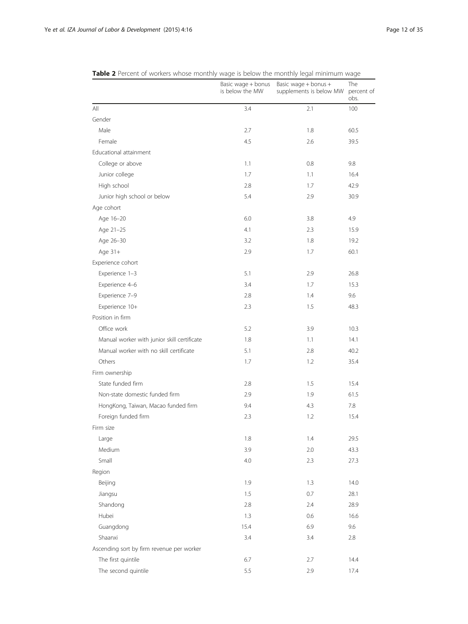|                                             | Basic wage + bonus<br>is below the MW | Basic wage + bonus +<br>supplements is below MW | The<br>percent of<br>obs. |
|---------------------------------------------|---------------------------------------|-------------------------------------------------|---------------------------|
| All                                         | 3.4                                   | 2.1                                             | 100                       |
| Gender                                      |                                       |                                                 |                           |
| Male                                        | 2.7                                   | 1.8                                             | 60.5                      |
| Female                                      | 4.5                                   | 2.6                                             | 39.5                      |
| Educational attainment                      |                                       |                                                 |                           |
| College or above                            | 1.1                                   | 0.8                                             | 9.8                       |
| Junior college                              | 1.7                                   | 1.1                                             | 16.4                      |
| High school                                 | 2.8                                   | 1.7                                             | 42.9                      |
| Junior high school or below                 | 5.4                                   | 2.9                                             | 30.9                      |
| Age cohort                                  |                                       |                                                 |                           |
| Age 16-20                                   | 6.0                                   | 3.8                                             | 4.9                       |
| Age 21-25                                   | 4.1                                   | 2.3                                             | 15.9                      |
| Age 26-30                                   | 3.2                                   | 1.8                                             | 19.2                      |
| Age 31+                                     | 2.9                                   | 1.7                                             | 60.1                      |
| Experience cohort                           |                                       |                                                 |                           |
| Experience 1-3                              | 5.1                                   | 2.9                                             | 26.8                      |
| Experience 4-6                              | 3.4                                   | 1.7                                             | 15.3                      |
| Experience 7-9                              | 2.8                                   | 1.4                                             | 9.6                       |
| Experience 10+                              | 2.3                                   | 1.5                                             | 48.3                      |
| Position in firm                            |                                       |                                                 |                           |
| Office work                                 | 5.2                                   | 3.9                                             | 10.3                      |
| Manual worker with junior skill certificate | 1.8                                   | 1.1                                             | 14.1                      |
| Manual worker with no skill certificate     | 5.1                                   | 2.8                                             | 40.2                      |
| Others                                      | 1.7                                   | 1.2                                             | 35.4                      |
| Firm ownership                              |                                       |                                                 |                           |
| State funded firm                           | 2.8                                   | 1.5                                             | 15.4                      |
| Non-state domestic funded firm              | 2.9                                   | 1.9                                             | 61.5                      |
| HongKong, Taiwan, Macao funded firm         | 9.4                                   | 4.3                                             | 7.8                       |
| Foreign funded firm                         | 2.3                                   | 1.2                                             | 15.4                      |
| Firm size                                   |                                       |                                                 |                           |
| Large                                       | 1.8                                   | 1.4                                             | 29.5                      |
| Medium                                      | 3.9                                   | 2.0                                             | 43.3                      |
| Small                                       | 4.0                                   | 2.3                                             | 27.3                      |
| Region                                      |                                       |                                                 |                           |
| Beijing                                     | 1.9                                   | 1.3                                             | 14.0                      |
| Jiangsu                                     | 1.5                                   | 0.7                                             | 28.1                      |
| Shandong                                    | 2.8                                   | 2.4                                             | 28.9                      |
| Hubei                                       | 1.3                                   | 0.6                                             | 16.6                      |
| Guangdong                                   | 15.4                                  | 6.9                                             | 9.6                       |
| Shaanxi                                     | 3.4                                   | 3.4                                             | 2.8                       |
| Ascending sort by firm revenue per worker   |                                       |                                                 |                           |
| The first quintile                          | 6.7                                   | 2.7                                             | 14.4                      |
| The second quintile                         | 5.5                                   | 2.9                                             | 17.4                      |

<span id="page-11-0"></span>**Table 2** Percent of workers whose monthly wage is below the monthly legal minimum wage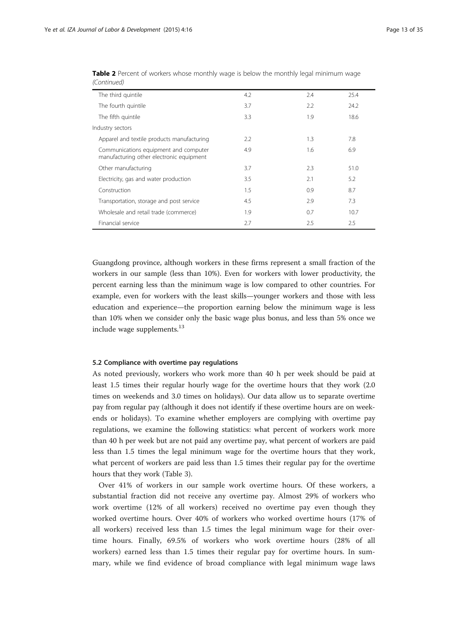| The third quintile                                                                | 4.2 | 2.4 | 25.4 |  |
|-----------------------------------------------------------------------------------|-----|-----|------|--|
| The fourth quintile                                                               | 3.7 | 2.2 | 24.2 |  |
| The fifth quintile                                                                | 3.3 | 1.9 | 18.6 |  |
| Industry sectors                                                                  |     |     |      |  |
| Apparel and textile products manufacturing                                        | 2.2 | 1.3 | 7.8  |  |
| Communications equipment and computer<br>manufacturing other electronic equipment | 4.9 | 1.6 | 6.9  |  |
| Other manufacturing                                                               | 3.7 | 2.3 | 51.0 |  |
| Electricity, gas and water production                                             | 3.5 | 2.1 | 5.2  |  |
| Construction                                                                      | 1.5 | 0.9 | 8.7  |  |
| Transportation, storage and post service                                          | 4.5 | 2.9 | 7.3  |  |
| Wholesale and retail trade (commerce)                                             | 1.9 | 0.7 | 10.7 |  |
| Financial service                                                                 | 2.7 | 2.5 | 2.5  |  |
|                                                                                   |     |     |      |  |

Table 2 Percent of workers whose monthly wage is below the monthly legal minimum wage (Continued)

Guangdong province, although workers in these firms represent a small fraction of the workers in our sample (less than 10%). Even for workers with lower productivity, the percent earning less than the minimum wage is low compared to other countries. For example, even for workers with the least skills—younger workers and those with less education and experience—the proportion earning below the minimum wage is less than 10% when we consider only the basic wage plus bonus, and less than 5% once we include wage supplements.<sup>13</sup>

### 5.2 Compliance with overtime pay regulations

As noted previously, workers who work more than 40 h per week should be paid at least 1.5 times their regular hourly wage for the overtime hours that they work (2.0 times on weekends and 3.0 times on holidays). Our data allow us to separate overtime pay from regular pay (although it does not identify if these overtime hours are on weekends or holidays). To examine whether employers are complying with overtime pay regulations, we examine the following statistics: what percent of workers work more than 40 h per week but are not paid any overtime pay, what percent of workers are paid less than 1.5 times the legal minimum wage for the overtime hours that they work, what percent of workers are paid less than 1.5 times their regular pay for the overtime hours that they work (Table [3\)](#page-13-0).

Over 41% of workers in our sample work overtime hours. Of these workers, a substantial fraction did not receive any overtime pay. Almost 29% of workers who work overtime (12% of all workers) received no overtime pay even though they worked overtime hours. Over 40% of workers who worked overtime hours (17% of all workers) received less than 1.5 times the legal minimum wage for their overtime hours. Finally, 69.5% of workers who work overtime hours (28% of all workers) earned less than 1.5 times their regular pay for overtime hours. In summary, while we find evidence of broad compliance with legal minimum wage laws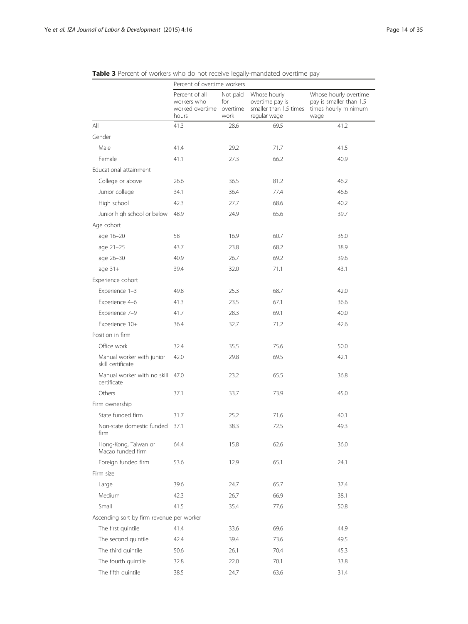|                                                | Percent of overtime workers                               |                                     |                                                                           |                                                                                  |
|------------------------------------------------|-----------------------------------------------------------|-------------------------------------|---------------------------------------------------------------------------|----------------------------------------------------------------------------------|
|                                                | Percent of all<br>workers who<br>worked overtime<br>hours | Not paid<br>for<br>overtime<br>work | Whose hourly<br>overtime pay is<br>smaller than 1.5 times<br>regular wage | Whose hourly overtime<br>pay is smaller than 1.5<br>times hourly minimum<br>wage |
| All                                            | 41.3                                                      | 28.6                                | 69.5                                                                      | 41.2                                                                             |
| Gender                                         |                                                           |                                     |                                                                           |                                                                                  |
| Male                                           | 41.4                                                      | 29.2                                | 71.7                                                                      | 41.5                                                                             |
| Female                                         | 41.1                                                      | 27.3                                | 66.2                                                                      | 40.9                                                                             |
| Educational attainment                         |                                                           |                                     |                                                                           |                                                                                  |
| College or above                               | 26.6                                                      | 36.5                                | 81.2                                                                      | 46.2                                                                             |
| Junior college                                 | 34.1                                                      | 36.4                                | 77.4                                                                      | 46.6                                                                             |
| High school                                    | 42.3                                                      | 27.7                                | 68.6                                                                      | 40.2                                                                             |
| Junior high school or below                    | 48.9                                                      | 24.9                                | 65.6                                                                      | 39.7                                                                             |
| Age cohort                                     |                                                           |                                     |                                                                           |                                                                                  |
| age 16-20                                      | 58                                                        | 16.9                                | 60.7                                                                      | 35.0                                                                             |
| age 21-25                                      | 43.7                                                      | 23.8                                | 68.2                                                                      | 38.9                                                                             |
| age 26-30                                      | 40.9                                                      | 26.7                                | 69.2                                                                      | 39.6                                                                             |
| age $31+$                                      | 39.4                                                      | 32.0                                | 71.1                                                                      | 43.1                                                                             |
| Experience cohort                              |                                                           |                                     |                                                                           |                                                                                  |
| Experience 1-3                                 | 49.8                                                      | 25.3                                | 68.7                                                                      | 42.0                                                                             |
| Experience 4-6                                 | 41.3                                                      | 23.5                                | 67.1                                                                      | 36.6                                                                             |
| Experience 7-9                                 | 41.7                                                      | 28.3                                | 69.1                                                                      | 40.0                                                                             |
| Experience 10+                                 | 36.4                                                      | 32.7                                | 71.2                                                                      | 42.6                                                                             |
| Position in firm                               |                                                           |                                     |                                                                           |                                                                                  |
| Office work                                    | 32.4                                                      | 35.5                                | 75.6                                                                      | 50.0                                                                             |
| Manual worker with junior<br>skill certificate | 42.0                                                      | 29.8                                | 69.5                                                                      | 42.1                                                                             |
| Manual worker with no skill<br>certificate     | 47.0                                                      | 23.2                                | 65.5                                                                      | 36.8                                                                             |
| Others                                         | 37.1                                                      | 33.7                                | 73.9                                                                      | 45.0                                                                             |
| Firm ownership                                 |                                                           |                                     |                                                                           |                                                                                  |
| State funded firm                              | 31.7                                                      | 25.2                                | 71.6                                                                      | 40.1                                                                             |
| Non-state domestic funded 37.1<br>firm         |                                                           | 38.3                                | 72.5                                                                      | 49.3                                                                             |
| Hong-Kong, Taiwan or<br>Macao funded firm      | 64.4                                                      | 15.8                                | 62.6                                                                      | 36.0                                                                             |
| Foreign funded firm                            | 53.6                                                      | 12.9                                | 65.1                                                                      | 24.1                                                                             |
| Firm size                                      |                                                           |                                     |                                                                           |                                                                                  |
| Large                                          | 39.6                                                      | 24.7                                | 65.7                                                                      | 37.4                                                                             |
| Medium                                         | 42.3                                                      | 26.7                                | 66.9                                                                      | 38.1                                                                             |
| Small                                          | 41.5                                                      | 35.4                                | 77.6                                                                      | 50.8                                                                             |
| Ascending sort by firm revenue per worker      |                                                           |                                     |                                                                           |                                                                                  |
| The first quintile                             | 41.4                                                      | 33.6                                | 69.6                                                                      | 44.9                                                                             |
| The second quintile                            | 42.4                                                      | 39.4                                | 73.6                                                                      | 49.5                                                                             |
| The third quintile                             | 50.6                                                      | 26.1                                | 70.4                                                                      | 45.3                                                                             |
| The fourth quintile                            | 32.8                                                      | 22.0                                | 70.1                                                                      | 33.8                                                                             |
| The fifth quintile                             | 38.5                                                      | 24.7                                | 63.6                                                                      | 31.4                                                                             |

<span id="page-13-0"></span>Table 3 Percent of workers who do not receive legally-mandated overtime pay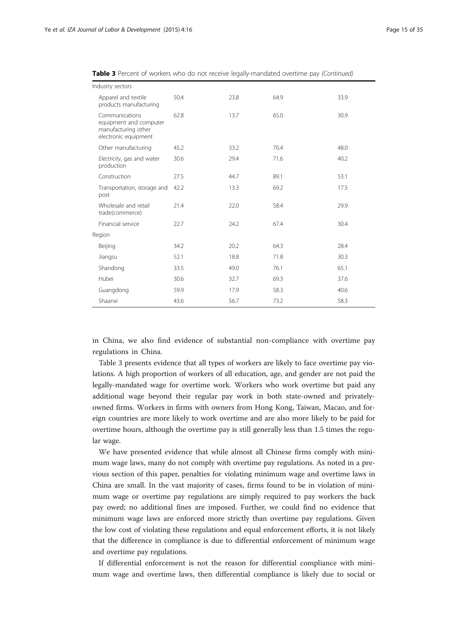| 50.4 | 23.8 | 64.9 | 33.9 |
|------|------|------|------|
| 62.8 | 13.7 | 65.0 | 30.9 |
| 45.2 | 33.2 | 70.4 | 48.0 |
| 30.6 | 29.4 | 71.6 | 40.2 |
| 27.5 | 44.7 | 89.1 | 53.1 |
| 42.2 | 13.3 | 69.2 | 17.5 |
| 21.4 | 22.0 | 58.4 | 29.9 |
| 22.7 | 24.2 | 67.4 | 30.4 |
|      |      |      |      |
| 34.2 | 20.2 | 64.3 | 28.4 |
| 52.1 | 18.8 | 71.8 | 30.3 |
| 33.5 | 49.0 | 76.1 | 65.1 |
| 30.6 | 32.7 | 69.3 | 37.6 |
| 59.9 | 17.9 | 58.3 | 40.6 |
| 43.6 | 56.7 | 73.2 | 58.3 |
|      |      |      |      |

Table 3 Percent of workers who do not receive legally-mandated overtime pay (Continued)

in China, we also find evidence of substantial non-compliance with overtime pay regulations in China.

Table [3](#page-13-0) presents evidence that all types of workers are likely to face overtime pay violations. A high proportion of workers of all education, age, and gender are not paid the legally-mandated wage for overtime work. Workers who work overtime but paid any additional wage beyond their regular pay work in both state-owned and privatelyowned firms. Workers in firms with owners from Hong Kong, Taiwan, Macao, and foreign countries are more likely to work overtime and are also more likely to be paid for overtime hours, although the overtime pay is still generally less than 1.5 times the regular wage.

We have presented evidence that while almost all Chinese firms comply with minimum wage laws, many do not comply with overtime pay regulations. As noted in a previous section of this paper, penalties for violating minimum wage and overtime laws in China are small. In the vast majority of cases, firms found to be in violation of minimum wage or overtime pay regulations are simply required to pay workers the back pay owed; no additional fines are imposed. Further, we could find no evidence that minimum wage laws are enforced more strictly than overtime pay regulations. Given the low cost of violating these regulations and equal enforcement efforts, it is not likely that the difference in compliance is due to differential enforcement of minimum wage and overtime pay regulations.

If differential enforcement is not the reason for differential compliance with minimum wage and overtime laws, then differential compliance is likely due to social or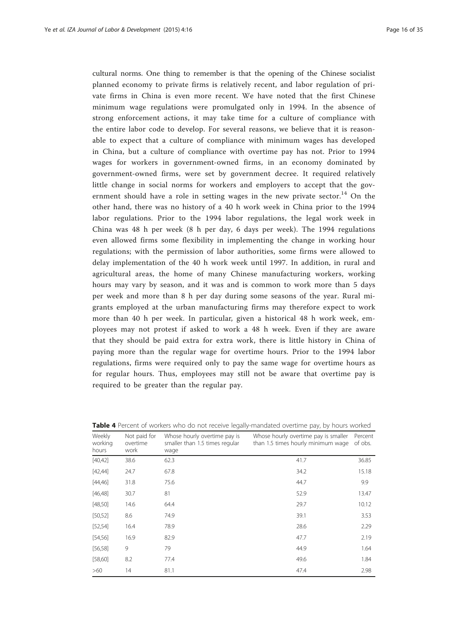<span id="page-15-0"></span>cultural norms. One thing to remember is that the opening of the Chinese socialist planned economy to private firms is relatively recent, and labor regulation of private firms in China is even more recent. We have noted that the first Chinese minimum wage regulations were promulgated only in 1994. In the absence of strong enforcement actions, it may take time for a culture of compliance with the entire labor code to develop. For several reasons, we believe that it is reasonable to expect that a culture of compliance with minimum wages has developed in China, but a culture of compliance with overtime pay has not. Prior to 1994 wages for workers in government-owned firms, in an economy dominated by government-owned firms, were set by government decree. It required relatively little change in social norms for workers and employers to accept that the government should have a role in setting wages in the new private sector.<sup>14</sup> On the other hand, there was no history of a 40 h work week in China prior to the 1994 labor regulations. Prior to the 1994 labor regulations, the legal work week in China was 48 h per week (8 h per day, 6 days per week). The 1994 regulations even allowed firms some flexibility in implementing the change in working hour regulations; with the permission of labor authorities, some firms were allowed to delay implementation of the 40 h work week until 1997. In addition, in rural and agricultural areas, the home of many Chinese manufacturing workers, working hours may vary by season, and it was and is common to work more than 5 days per week and more than 8 h per day during some seasons of the year. Rural migrants employed at the urban manufacturing firms may therefore expect to work more than 40 h per week. In particular, given a historical 48 h work week, employees may not protest if asked to work a 48 h week. Even if they are aware that they should be paid extra for extra work, there is little history in China of paying more than the regular wage for overtime hours. Prior to the 1994 labor regulations, firms were required only to pay the same wage for overtime hours as for regular hours. Thus, employees may still not be aware that overtime pay is required to be greater than the regular pay.

| Weekly<br>working<br>hours | Not paid for<br>overtime<br>work | Whose hourly overtime pay is<br>smaller than 1.5 times regular<br>wage | Whose hourly overtime pay is smaller<br>than 1.5 times hourly minimum wage | Percent<br>of obs. |
|----------------------------|----------------------------------|------------------------------------------------------------------------|----------------------------------------------------------------------------|--------------------|
| [40, 42]                   | 38.6                             | 62.3                                                                   | 41.7                                                                       | 36.85              |
| [42, 44]                   | 24.7                             | 67.8                                                                   | 34.2                                                                       | 15.18              |
| [44, 46]                   | 31.8                             | 75.6                                                                   | 44.7                                                                       | 9.9                |
| [46, 48]                   | 30.7                             | 81                                                                     | 52.9                                                                       | 13.47              |
| [48, 50]                   | 14.6                             | 64.4                                                                   | 29.7                                                                       | 10.12              |
| [50, 52]                   | 8.6                              | 74.9                                                                   | 39.1                                                                       | 3.53               |
| [52, 54]                   | 16.4                             | 78.9                                                                   | 28.6                                                                       | 2.29               |
| [54, 56]                   | 16.9                             | 82.9                                                                   | 47.7                                                                       | 2.19               |
| [56, 58]                   | 9                                | 79                                                                     | 44.9                                                                       | 1.64               |
| [58, 60]                   | 8.2                              | 77.4                                                                   | 49.6                                                                       | 1.84               |
| >60                        | 14                               | 81.1                                                                   | 47.4                                                                       | 2.98               |

**Table 4** Percent of workers who do not receive legally-mandated overtime pay, by hours worked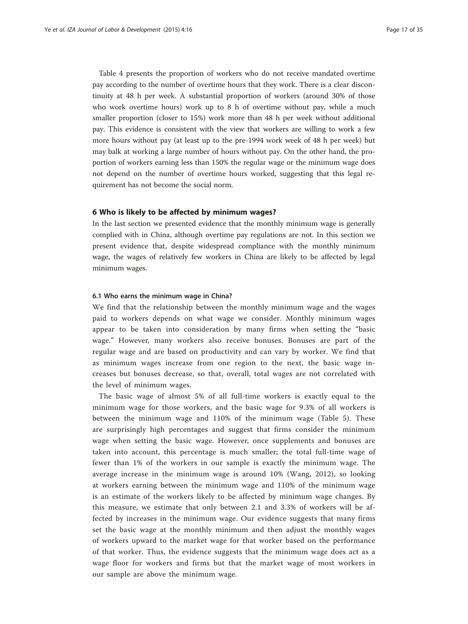Table [4](#page-15-0) presents the proportion of workers who do not receive mandated overtime pay according to the number of overtime hours that they work. There is a clear discontinuity at 48 h per week. A substantial proportion of workers (around 30% of those who work overtime hours) work up to 8 h of overtime without pay, while a much smaller proportion (closer to 15%) work more than 48 h per week without additional pay. This evidence is consistent with the view that workers are willing to work a few more hours without pay (at least up to the pre-1994 work week of 48 h per week) but may balk at working a large number of hours without pay. On the other hand, the proportion of workers earning less than 150% the regular wage or the minimum wage does not depend on the number of overtime hours worked, suggesting that this legal requirement has not become the social norm.

#### 6 Who is likely to be affected by minimum wages?

In the last section we presented evidence that the monthly minimum wage is generally complied with in China, although overtime pay regulations are not. In this section we present evidence that, despite widespread compliance with the monthly minimum wage, the wages of relatively few workers in China are likely to be affected by legal minimum wages.

#### 6.1 Who earns the minimum wage in China?

We find that the relationship between the monthly minimum wage and the wages paid to workers depends on what wage we consider. Monthly minimum wages appear to be taken into consideration by many firms when setting the "basic wage." However, many workers also receive bonuses. Bonuses are part of the regular wage and are based on productivity and can vary by worker. We find that as minimum wages increase from one region to the next, the basic wage increases but bonuses decrease, so that, overall, total wages are not correlated with the level of minimum wages.

The basic wage of almost 5% of all full-time workers is exactly equal to the minimum wage for those workers, and the basic wage for 9.3% of all workers is between the minimum wage and 110% of the minimum wage (Table [5\)](#page-17-0). These are surprisingly high percentages and suggest that firms consider the minimum wage when setting the basic wage. However, once supplements and bonuses are taken into account, this percentage is much smaller; the total full-time wage of fewer than 1% of the workers in our sample is exactly the minimum wage. The average increase in the minimum wage is around 10% (Wang, [2012\)](#page-34-0), so looking at workers earning between the minimum wage and 110% of the minimum wage is an estimate of the workers likely to be affected by minimum wage changes. By this measure, we estimate that only between 2.1 and 3.3% of workers will be affected by increases in the minimum wage. Our evidence suggests that many firms set the basic wage at the monthly minimum and then adjust the monthly wages of workers upward to the market wage for that worker based on the performance of that worker. Thus, the evidence suggests that the minimum wage does act as a wage floor for workers and firms but that the market wage of most workers in our sample are above the minimum wage.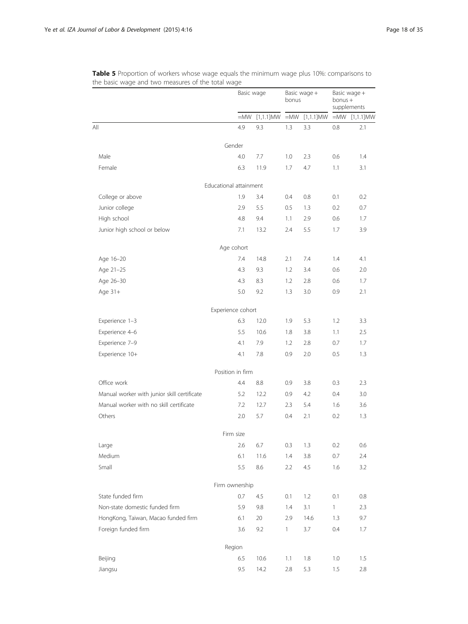|                                             |                        | Basic wage   |              | Basic wage +<br>bonus |              | Basic wage +<br>$bonus +$<br>supplements |  |
|---------------------------------------------|------------------------|--------------|--------------|-----------------------|--------------|------------------------------------------|--|
|                                             | $=$ MW                 | $[1,1.1]$ MW | $=$ MW       | $[1,1.1]$ MW          | $=$ MW       | $[1,1.1]$ MW                             |  |
| All                                         | 4.9                    | 9.3          | 1.3          | 3.3                   | 0.8          | 2.1                                      |  |
|                                             | Gender                 |              |              |                       |              |                                          |  |
| Male                                        | 4.0                    | 7.7          | 1.0          | 2.3                   | 0.6          | 1.4                                      |  |
| Female                                      | 6.3                    | 11.9         | 1.7          | 4.7                   | 1.1          | 3.1                                      |  |
|                                             | Educational attainment |              |              |                       |              |                                          |  |
| College or above                            | 1.9                    | 3.4          | 0.4          | 0.8                   | 0.1          | 0.2                                      |  |
| Junior college                              | 2.9                    | 5.5          | 0.5          | 1.3                   | 0.2          | 0.7                                      |  |
| High school                                 | 4.8                    | 9.4          | 1.1          | 2.9                   | 0.6          | 1.7                                      |  |
| Junior high school or below                 | 7.1                    | 13.2         | 2.4          | 5.5                   | 1.7          | 3.9                                      |  |
|                                             | Age cohort             |              |              |                       |              |                                          |  |
| Age 16-20                                   | 7.4                    | 14.8         | 2.1          | 7.4                   | 1.4          | 4.1                                      |  |
| Age 21-25                                   | 4.3                    | 9.3          | 1.2          | 3.4                   | 0.6          | 2.0                                      |  |
| Age 26-30                                   | 4.3                    | 8.3          | 1.2          | 2.8                   | 0.6          | 1.7                                      |  |
| Age 31+                                     | 5.0                    | 9.2          | 1.3          | 3.0                   | 0.9          | 2.1                                      |  |
|                                             | Experience cohort      |              |              |                       |              |                                          |  |
| Experience 1-3                              | 6.3                    | 12.0         | 1.9          | 5.3                   | 1.2          | 3.3                                      |  |
| Experience 4-6                              | 5.5                    | 10.6         | 1.8          | 3.8                   | 1.1          | 2.5                                      |  |
| Experience 7-9                              | 4.1                    | 7.9          | 1.2          | 2.8                   | 0.7          | 1.7                                      |  |
| Experience 10+                              | 4.1                    | 7.8          | 0.9          | 2.0                   | 0.5          | 1.3                                      |  |
|                                             | Position in firm       |              |              |                       |              |                                          |  |
| Office work                                 | 4.4                    | 8.8          | 0.9          | 3.8                   | 0.3          | 2.3                                      |  |
| Manual worker with junior skill certificate | 5.2                    | 12.2         | 0.9          | 4.2                   | 0.4          | 3.0                                      |  |
| Manual worker with no skill certificate     | 7.2                    | 12.7         | 2.3          | 5.4                   | 1.6          | 3.6                                      |  |
| Others                                      | 2.0                    | 5.7          | 0.4          | 2.1                   | 0.2          | 1.3                                      |  |
|                                             | Firm size              |              |              |                       |              |                                          |  |
| Large                                       | 2.6                    | 6.7          | 0.3          | 1.3                   | 0.2          | 0.6                                      |  |
| Medium                                      | 6.1                    | 11.6         | 1.4          | 3.8                   | 0.7          | 2.4                                      |  |
| Small                                       | 5.5                    | 8.6          | 2.2          | 4.5                   | 1.6          | 3.2                                      |  |
|                                             | Firm ownership         |              |              |                       |              |                                          |  |
| State funded firm                           | 0.7                    | 4.5          | 0.1          | 1.2                   | 0.1          | 0.8                                      |  |
| Non-state domestic funded firm              | 5.9                    | 9.8          | 1.4          | 3.1                   | $\mathbf{1}$ | 2.3                                      |  |
| HongKong, Taiwan, Macao funded firm         | 6.1                    | 20           | 2.9          | 14.6                  | 1.3          | 9.7                                      |  |
| Foreign funded firm                         | 3.6                    | 9.2          | $\mathbb{1}$ | 3.7                   | 0.4          | 1.7                                      |  |
|                                             | Region                 |              |              |                       |              |                                          |  |
| Beijing                                     | 6.5                    | 10.6         | 1.1          | 1.8                   | 1.0          | 1.5                                      |  |
| Jiangsu                                     | 9.5                    | 14.2         | 2.8          | 5.3                   | 1.5          | 2.8                                      |  |

<span id="page-17-0"></span>Table 5 Proportion of workers whose wage equals the minimum wage plus 10%: comparisons to the basic wage and two measures of the total wage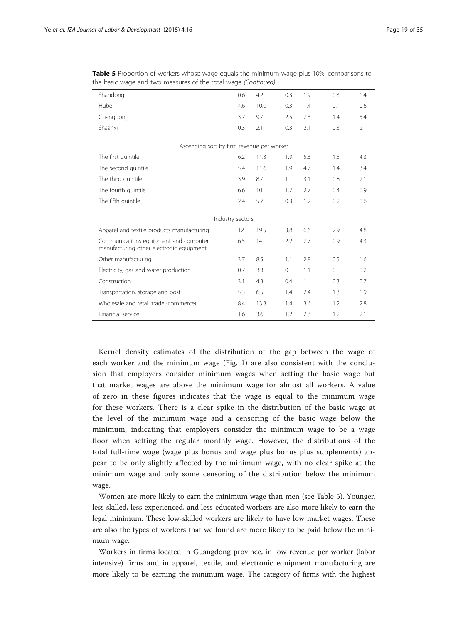| Shandong                                                                          | 0.6 | 4.2  | 0.3          | 1.9 | 0.3         | 1.4 |
|-----------------------------------------------------------------------------------|-----|------|--------------|-----|-------------|-----|
| Hubei                                                                             | 4.6 | 10.0 | 0.3          | 1.4 | 0.1         | 0.6 |
| Guangdong                                                                         | 3.7 | 9.7  | 2.5          | 7.3 | 1.4         | 5.4 |
| Shaanxi                                                                           | 0.3 | 2.1  | 0.3          | 2.1 | 0.3         | 2.1 |
| Ascending sort by firm revenue per worker                                         |     |      |              |     |             |     |
| The first quintile                                                                | 6.2 | 11.3 | 1.9          | 5.3 | 1.5         | 4.3 |
| The second quintile                                                               | 5.4 | 11.6 | 1.9          | 4.7 | 1.4         | 3.4 |
| The third quintile                                                                | 3.9 | 8.7  | $\mathbf{1}$ | 3.1 | 0.8         | 2.1 |
| The fourth quintile                                                               | 6.6 | 10   | 1.7          | 2.7 | 0.4         | 0.9 |
| The fifth quintile                                                                | 2.4 | 5.7  | 0.3          | 1.2 | 0.2         | 0.6 |
| Industry sectors                                                                  |     |      |              |     |             |     |
| Apparel and textile products manufacturing                                        | 12  | 19.5 | 3.8          | 6.6 | 2.9         | 4.8 |
| Communications equipment and computer<br>manufacturing other electronic equipment | 6.5 | 14   | 2.2          | 7.7 | 0.9         | 4.3 |
| Other manufacturing                                                               | 3.7 | 8.5  | 1.1          | 2.8 | 0.5         | 1.6 |
| Electricity, gas and water production                                             | 0.7 | 3.3  | $\circ$      | 1.1 | $\mathbf 0$ | 0.2 |
| Construction                                                                      | 3.1 | 4.3  | 0.4          | 1   | 0.3         | 0.7 |
| Transportation, storage and post                                                  | 5.3 | 6.5  | 1.4          | 2.4 | 1.3         | 1.9 |
| Wholesale and retail trade (commerce)                                             | 8.4 | 13.3 | 1.4          | 3.6 | 1.2         | 2.8 |
| Financial service                                                                 | 1.6 | 3.6  | 1.2          | 2.3 | 1.2         | 2.1 |

Table 5 Proportion of workers whose wage equals the minimum wage plus 10%: comparisons to the basic wage and two measures of the total wage (Continued)

Kernel density estimates of the distribution of the gap between the wage of each worker and the minimum wage (Fig. [1\)](#page-19-0) are also consistent with the conclusion that employers consider minimum wages when setting the basic wage but that market wages are above the minimum wage for almost all workers. A value of zero in these figures indicates that the wage is equal to the minimum wage for these workers. There is a clear spike in the distribution of the basic wage at the level of the minimum wage and a censoring of the basic wage below the minimum, indicating that employers consider the minimum wage to be a wage floor when setting the regular monthly wage. However, the distributions of the total full-time wage (wage plus bonus and wage plus bonus plus supplements) appear to be only slightly affected by the minimum wage, with no clear spike at the minimum wage and only some censoring of the distribution below the minimum wage.

Women are more likely to earn the minimum wage than men (see Table [5\)](#page-17-0). Younger, less skilled, less experienced, and less-educated workers are also more likely to earn the legal minimum. These low-skilled workers are likely to have low market wages. These are also the types of workers that we found are more likely to be paid below the minimum wage.

Workers in firms located in Guangdong province, in low revenue per worker (labor intensive) firms and in apparel, textile, and electronic equipment manufacturing are more likely to be earning the minimum wage. The category of firms with the highest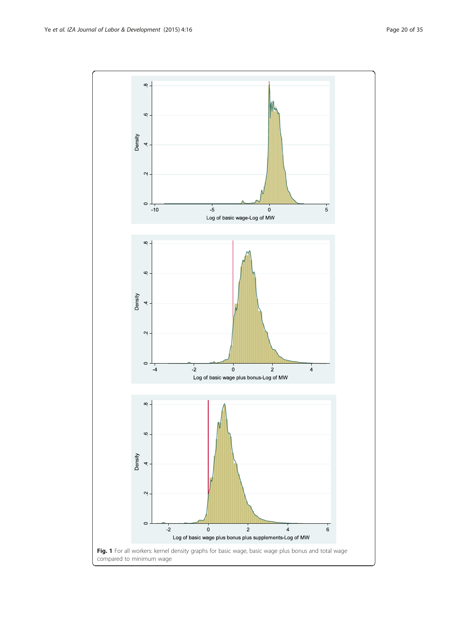<span id="page-19-0"></span>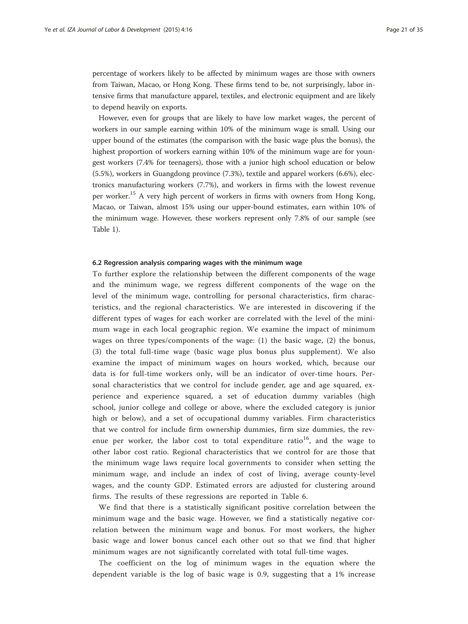percentage of workers likely to be affected by minimum wages are those with owners from Taiwan, Macao, or Hong Kong. These firms tend to be, not surprisingly, labor intensive firms that manufacture apparel, textiles, and electronic equipment and are likely to depend heavily on exports.

However, even for groups that are likely to have low market wages, the percent of workers in our sample earning within 10% of the minimum wage is small. Using our upper bound of the estimates (the comparison with the basic wage plus the bonus), the highest proportion of workers earning within 10% of the minimum wage are for youngest workers (7.4% for teenagers), those with a junior high school education or below (5.5%), workers in Guangdong province (7.3%), textile and apparel workers (6.6%), electronics manufacturing workers (7.7%), and workers in firms with the lowest revenue per worker.<sup>15</sup> A very high percent of workers in firms with owners from Hong Kong, Macao, or Taiwan, almost 15% using our upper-bound estimates, earn within 10% of the minimum wage. However, these workers represent only 7.8% of our sample (see Table [1\)](#page-8-0).

#### 6.2 Regression analysis comparing wages with the minimum wage

To further explore the relationship between the different components of the wage and the minimum wage, we regress different components of the wage on the level of the minimum wage, controlling for personal characteristics, firm characteristics, and the regional characteristics. We are interested in discovering if the different types of wages for each worker are correlated with the level of the minimum wage in each local geographic region. We examine the impact of minimum wages on three types/components of the wage: (1) the basic wage, (2) the bonus, (3) the total full-time wage (basic wage plus bonus plus supplement). We also examine the impact of minimum wages on hours worked, which, because our data is for full-time workers only, will be an indicator of over-time hours. Personal characteristics that we control for include gender, age and age squared, experience and experience squared, a set of education dummy variables (high school, junior college and college or above, where the excluded category is junior high or below), and a set of occupational dummy variables. Firm characteristics that we control for include firm ownership dummies, firm size dummies, the revenue per worker, the labor cost to total expenditure ratio<sup>16</sup>, and the wage to other labor cost ratio. Regional characteristics that we control for are those that the minimum wage laws require local governments to consider when setting the minimum wage, and include an index of cost of living, average county-level wages, and the county GDP. Estimated errors are adjusted for clustering around firms. The results of these regressions are reported in Table [6.](#page-21-0)

We find that there is a statistically significant positive correlation between the minimum wage and the basic wage. However, we find a statistically negative correlation between the minimum wage and bonus. For most workers, the higher basic wage and lower bonus cancel each other out so that we find that higher minimum wages are not significantly correlated with total full-time wages.

The coefficient on the log of minimum wages in the equation where the dependent variable is the log of basic wage is 0.9, suggesting that a 1% increase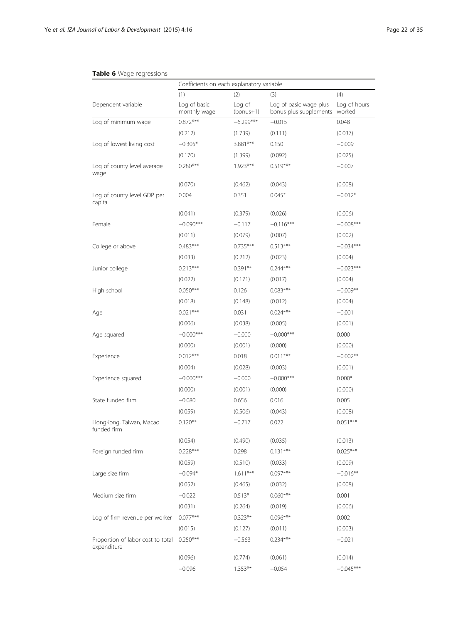<span id="page-21-0"></span>

| <b>TANIC O</b> WAYL TUYIUSIONS                   | Coefficients on each explanatory variable |                       |                                                  |                        |  |
|--------------------------------------------------|-------------------------------------------|-----------------------|--------------------------------------------------|------------------------|--|
|                                                  | (1)                                       | (2)                   | (3)                                              | (4)                    |  |
| Dependent variable                               | Log of basic<br>monthly wage              | Log of<br>$(bonus+1)$ | Log of basic wage plus<br>bonus plus supplements | Log of hours<br>worked |  |
| Log of minimum wage                              | $0.872***$                                | $-6.299***$           | $-0.015$                                         | 0.048                  |  |
|                                                  | (0.212)                                   | (1.739)               | (0.111)                                          | (0.037)                |  |
| Log of lowest living cost                        | $-0.305*$                                 | 3.881***              | 0.150                                            | $-0.009$               |  |
|                                                  | (0.170)                                   | (1.399)               | (0.092)                                          | (0.025)                |  |
| Log of county level average<br>wage              | $0.280***$                                | $1.923***$            | $0.519***$                                       | $-0.007$               |  |
|                                                  | (0.070)                                   | (0.462)               | (0.043)                                          | (0.008)                |  |
| Log of county level GDP per<br>capita            | 0.004                                     | 0.351                 | $0.045*$                                         | $-0.012*$              |  |
|                                                  | (0.041)                                   | (0.379)               | (0.026)                                          | (0.006)                |  |
| Female                                           | $-0.090***$                               | $-0.117$              | $-0.116***$                                      | $-0.008***$            |  |
|                                                  | (0.011)                                   | (0.079)               | (0.007)                                          | (0.002)                |  |
| College or above                                 | $0.483***$                                | $0.735***$            | $0.513***$                                       | $-0.034***$            |  |
|                                                  | (0.033)                                   | (0.212)               | (0.023)                                          | (0.004)                |  |
| Junior college                                   | $0.213***$                                | $0.391**$             | $0.244***$                                       | $-0.023***$            |  |
|                                                  | (0.022)                                   | (0.171)               | (0.017)                                          | (0.004)                |  |
| High school                                      | $0.050***$                                | 0.126                 | $0.083***$                                       | $-0.009**$             |  |
|                                                  | (0.018)                                   | (0.148)               | (0.012)                                          | (0.004)                |  |
| Age                                              | $0.021***$                                | 0.031                 | $0.024***$                                       | $-0.001$               |  |
|                                                  | (0.006)                                   | (0.038)               | (0.005)                                          | (0.001)                |  |
| Age squared                                      | $-0.000***$                               | $-0.000$              | $-0.000***$                                      | 0.000                  |  |
|                                                  | (0.000)                                   | (0.001)               | (0.000)                                          | (0.000)                |  |
| Experience                                       | $0.012***$                                | 0.018                 | $0.011***$                                       | $-0.002**$             |  |
|                                                  | (0.004)                                   | (0.028)               | (0.003)                                          | (0.001)                |  |
| Experience squared                               | $-0.000***$                               | $-0.000$              | $-0.000***$                                      | $0.000*$               |  |
|                                                  | (0.000)                                   | (0.001)               | (0.000)                                          | (0.000)                |  |
| State funded firm                                | $-0.080$                                  | 0.656                 | 0.016                                            | 0.005                  |  |
|                                                  | (0.059)                                   | (0.506)               | (0.043)                                          | (0.008)                |  |
| HongKong, Taiwan, Macao<br>funded firm           | $0.120**$                                 | $-0.717$              | 0.022                                            | $0.051***$             |  |
|                                                  | (0.054)                                   | (0.490)               | (0.035)                                          | (0.013)                |  |
| Foreign funded firm                              | $0.228***$                                | 0.298                 | $0.131***$                                       | $0.025***$             |  |
|                                                  | (0.059)                                   | (0.510)               | (0.033)                                          | (0.009)                |  |
| Large size firm                                  | $-0.094*$                                 | $1.611***$            | $0.097***$                                       | $-0.016**$             |  |
|                                                  | (0.052)                                   | (0.465)               | (0.032)                                          | (0.008)                |  |
| Medium size firm                                 | $-0.022$                                  | $0.513*$              | $0.060***$                                       | 0.001                  |  |
|                                                  | (0.031)                                   | (0.264)               | (0.019)                                          | (0.006)                |  |
| Log of firm revenue per worker                   | $0.077***$                                | $0.323**$             | $0.096***$                                       | 0.002                  |  |
|                                                  | (0.015)                                   | (0.127)               | (0.011)                                          | (0.003)                |  |
| Proportion of labor cost to total<br>expenditure | $0.250***$                                | $-0.563$              | $0.234***$                                       | $-0.021$               |  |
|                                                  | (0.096)                                   | (0.774)               | (0.061)                                          | (0.014)                |  |
|                                                  | $-0.096$                                  | $1.353**$             | $-0.054$                                         | $-0.045***$            |  |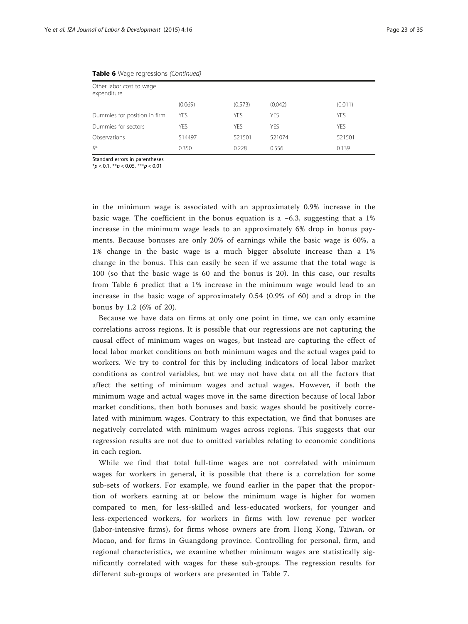| Other labor cost to wage<br>expenditure |            |            |            |            |
|-----------------------------------------|------------|------------|------------|------------|
|                                         | (0.069)    | (0.573)    | (0.042)    | (0.011)    |
| Dummies for position in firm            | <b>YES</b> | <b>YES</b> | <b>YFS</b> | YES        |
| Dummies for sectors                     | YES        | <b>YES</b> | <b>YFS</b> | <b>YES</b> |
| Observations                            | 514497     | 521501     | 521074     | 521501     |
| $R^2$                                   | 0.350      | 0.228      | 0.556      | 0.139      |

#### Table 6 Wage regressions (Continued)

Standard errors in parentheses

 $*<sub>p</sub> < 0.1, **<sub>p</sub> < 0.05, ***<sub>p</sub> < 0.01$ 

in the minimum wage is associated with an approximately 0.9% increase in the basic wage. The coefficient in the bonus equation is a  $-6.3$ , suggesting that a 1% increase in the minimum wage leads to an approximately 6% drop in bonus payments. Because bonuses are only 20% of earnings while the basic wage is 60%, a 1% change in the basic wage is a much bigger absolute increase than a 1% change in the bonus. This can easily be seen if we assume that the total wage is 100 (so that the basic wage is 60 and the bonus is 20). In this case, our results from Table [6](#page-21-0) predict that a 1% increase in the minimum wage would lead to an increase in the basic wage of approximately 0.54 (0.9% of 60) and a drop in the bonus by 1.2 (6% of 20).

Because we have data on firms at only one point in time, we can only examine correlations across regions. It is possible that our regressions are not capturing the causal effect of minimum wages on wages, but instead are capturing the effect of local labor market conditions on both minimum wages and the actual wages paid to workers. We try to control for this by including indicators of local labor market conditions as control variables, but we may not have data on all the factors that affect the setting of minimum wages and actual wages. However, if both the minimum wage and actual wages move in the same direction because of local labor market conditions, then both bonuses and basic wages should be positively correlated with minimum wages. Contrary to this expectation, we find that bonuses are negatively correlated with minimum wages across regions. This suggests that our regression results are not due to omitted variables relating to economic conditions in each region.

While we find that total full-time wages are not correlated with minimum wages for workers in general, it is possible that there is a correlation for some sub-sets of workers. For example, we found earlier in the paper that the proportion of workers earning at or below the minimum wage is higher for women compared to men, for less-skilled and less-educated workers, for younger and less-experienced workers, for workers in firms with low revenue per worker (labor-intensive firms), for firms whose owners are from Hong Kong, Taiwan, or Macao, and for firms in Guangdong province. Controlling for personal, firm, and regional characteristics, we examine whether minimum wages are statistically significantly correlated with wages for these sub-groups. The regression results for different sub-groups of workers are presented in Table [7.](#page-23-0)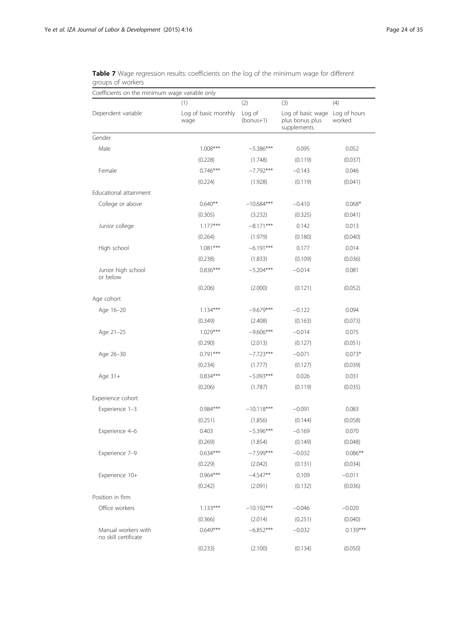| Coefficients on the minimum wage variable only |                              |                       |                                                                  |            |  |  |  |
|------------------------------------------------|------------------------------|-----------------------|------------------------------------------------------------------|------------|--|--|--|
|                                                | (1)                          | (2)                   | (3)                                                              | (4)        |  |  |  |
| Dependent variable                             | Log of basic monthly<br>wage | Log of<br>$(bonus+1)$ | Log of basic wage Log of hours<br>plus bonus plus<br>supplements | worked     |  |  |  |
| Gender                                         |                              |                       |                                                                  |            |  |  |  |
| Male                                           | $1.008***$                   | $-5.386***$           | 0.095                                                            | 0.052      |  |  |  |
|                                                | (0.228)                      | (1.748)               | (0.119)                                                          | (0.037)    |  |  |  |
| Female                                         | $0.746***$                   | $-7.792***$           | $-0.143$                                                         | 0.046      |  |  |  |
|                                                | (0.224)                      | (1.928)               | (0.119)                                                          | (0.041)    |  |  |  |
| Educational attainment                         |                              |                       |                                                                  |            |  |  |  |
| College or above                               | $0.640**$                    | $-10.684***$          | $-0.410$                                                         | $0.068*$   |  |  |  |
|                                                | (0.305)                      | (3.232)               | (0.325)                                                          | (0.041)    |  |  |  |
| Junior college                                 | $1.177***$                   | $-8.171***$           | 0.142                                                            | 0.013      |  |  |  |
|                                                | (0.264)                      | (1.979)               | (0.180)                                                          | (0.040)    |  |  |  |
| High school                                    | $1.081***$                   | $-6.191***$           | 0.177                                                            | 0.014      |  |  |  |
|                                                | (0.238)                      | (1.833)               | (0.109)                                                          | (0.036)    |  |  |  |
| Junior high school<br>or below                 | $0.836***$                   | $-5.204***$           | $-0.014$                                                         | 0.081      |  |  |  |
|                                                | (0.206)                      | (2.000)               | (0.121)                                                          | (0.052)    |  |  |  |
| Age cohort                                     |                              |                       |                                                                  |            |  |  |  |
| Age 16-20                                      | $1.134***$                   | $-9.679***$           | $-0.122$                                                         | 0.094      |  |  |  |
|                                                | (0.349)                      | (2.408)               | (0.163)                                                          | (0.073)    |  |  |  |
| Age 21-25                                      | $1.029***$                   | $-9.606***$           | $-0.014$                                                         | 0.075      |  |  |  |
|                                                | (0.290)                      | (2.013)               | (0.127)                                                          | (0.051)    |  |  |  |
| Age 26-30                                      | $0.791***$                   | $-7.723***$           | $-0.071$                                                         | $0.073*$   |  |  |  |
|                                                | (0.234)                      | (1.777)               | (0.127)                                                          | (0.039)    |  |  |  |
| Age 31+                                        | $0.834***$                   | $-5.093***$           | 0.026                                                            | 0.031      |  |  |  |
|                                                | (0.206)                      | (1.787)               | (0.119)                                                          | (0.035)    |  |  |  |
| Experience cohort                              |                              |                       |                                                                  |            |  |  |  |
| Experience 1-3                                 | $0.984***$                   | $-10.118***$          | $-0.091$                                                         | 0.083      |  |  |  |
|                                                | (0.251)                      | (1.856)               | (0.144)                                                          | (0.058)    |  |  |  |
| Experience 4-6                                 | 0.403                        | $-5.396***$           | $-0.169$                                                         | 0.070      |  |  |  |
|                                                | (0.269)                      | (1.854)               | (0.149)                                                          | (0.048)    |  |  |  |
| Experience 7-9                                 | $0.634***$                   | $-7.599***$           | $-0.032$                                                         | $0.086**$  |  |  |  |
|                                                | (0.229)                      | (2.042)               | (0.131)                                                          | (0.034)    |  |  |  |
| Experience 10+                                 | $0.964***$                   | $-4.547**$            | 0.109                                                            | $-0.011$   |  |  |  |
|                                                | (0.242)                      | (2.091)               | (0.132)                                                          | (0.036)    |  |  |  |
| Position in firm                               |                              |                       |                                                                  |            |  |  |  |
| Office workers                                 | $1.133***$                   | $-10.192***$          | $-0.046$                                                         | $-0.020$   |  |  |  |
|                                                | (0.366)                      | (2.014)               | (0.251)                                                          | (0.040)    |  |  |  |
| Manual workers with<br>no skill certificate    | $0.649***$                   | $-6.852***$           | $-0.032$                                                         | $0.139***$ |  |  |  |
|                                                | (0.233)                      | (2.100)               | (0.134)                                                          | (0.050)    |  |  |  |

<span id="page-23-0"></span>Table 7 Wage regression results: coefficients on the log of the minimum wage for different groups of workers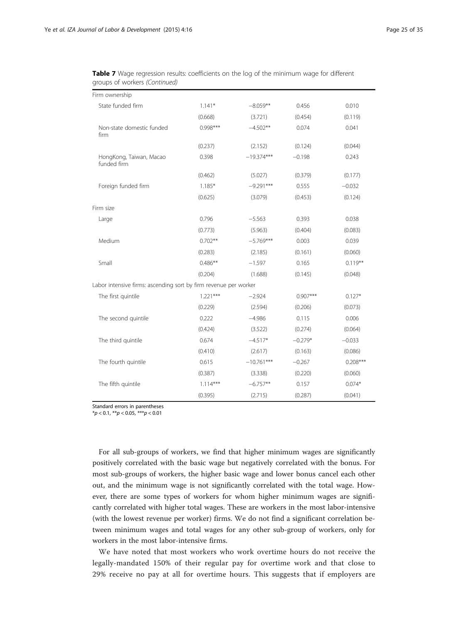| Firm ownership                                                   |            |              |            |            |
|------------------------------------------------------------------|------------|--------------|------------|------------|
| State funded firm                                                | $1.141*$   | $-8.059**$   | 0.456      | 0.010      |
|                                                                  | (0.668)    | (3.721)      | (0.454)    | (0.119)    |
| Non-state domestic funded<br>firm                                | $0.998***$ | $-4.502**$   | 0.074      | 0.041      |
|                                                                  | (0.237)    | (2.152)      | (0.124)    | (0.044)    |
| HongKong, Taiwan, Macao<br>funded firm                           | 0.398      | $-19.374***$ | $-0.198$   | 0.243      |
|                                                                  | (0.462)    | (5.027)      | (0.379)    | (0.177)    |
| Foreign funded firm                                              | $1.185*$   | $-9.291***$  | 0.555      | $-0.032$   |
|                                                                  | (0.625)    | (3.079)      | (0.453)    | (0.124)    |
| Firm size                                                        |            |              |            |            |
| Large                                                            | 0.796      | $-5.563$     | 0.393      | 0.038      |
|                                                                  | (0.773)    | (5.963)      | (0.404)    | (0.083)    |
| Medium                                                           | $0.702**$  | $-5.769***$  | 0.003      | 0.039      |
|                                                                  | (0.283)    | (2.185)      | (0.161)    | (0.060)    |
| Small                                                            | $0.486**$  | $-1.597$     | 0.165      | $0.119***$ |
|                                                                  | (0.204)    | (1.688)      | (0.145)    | (0.048)    |
| Labor intensive firms: ascending sort by firm revenue per worker |            |              |            |            |
| The first quintile                                               | $1.221***$ | $-2.924$     | $0.907***$ | $0.127*$   |
|                                                                  | (0.229)    | (2.594)      | (0.206)    | (0.073)    |
| The second quintile                                              | 0.222      | $-4.986$     | 0.115      | 0.006      |
|                                                                  | (0.424)    | (3.522)      | (0.274)    | (0.064)    |
| The third quintile                                               | 0.674      | $-4.517*$    | $-0.279*$  | $-0.033$   |
|                                                                  | (0.410)    | (2.617)      | (0.163)    | (0.086)    |
| The fourth quintile                                              | 0.615      | $-10.761***$ | $-0.267$   | $0.208***$ |
|                                                                  | (0.387)    | (3.338)      | (0.220)    | (0.060)    |
| The fifth quintile                                               | $1.114***$ | $-6.757**$   | 0.157      | $0.074*$   |
|                                                                  | (0.395)    | (2.715)      | (0.287)    | (0.041)    |

Table 7 Wage regression results: coefficients on the log of the minimum wage for different groups of workers (Continued)

Standard errors in parentheses

 $*p < 0.1$ ,  $**p < 0.05$ ,  $***p < 0.01$ 

For all sub-groups of workers, we find that higher minimum wages are significantly positively correlated with the basic wage but negatively correlated with the bonus. For most sub-groups of workers, the higher basic wage and lower bonus cancel each other out, and the minimum wage is not significantly correlated with the total wage. However, there are some types of workers for whom higher minimum wages are significantly correlated with higher total wages. These are workers in the most labor-intensive (with the lowest revenue per worker) firms. We do not find a significant correlation between minimum wages and total wages for any other sub-group of workers, only for workers in the most labor-intensive firms.

We have noted that most workers who work overtime hours do not receive the legally-mandated 150% of their regular pay for overtime work and that close to 29% receive no pay at all for overtime hours. This suggests that if employers are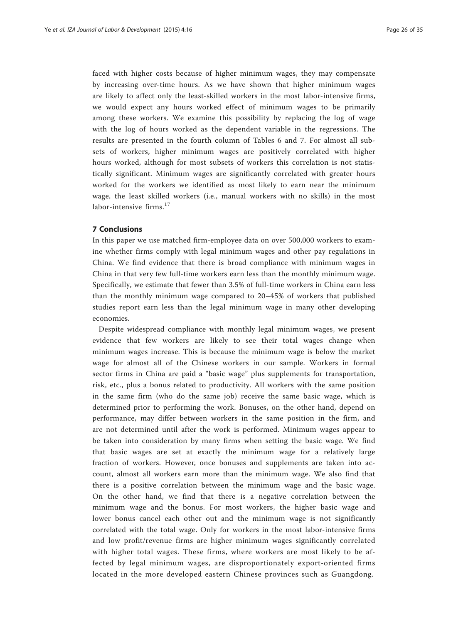faced with higher costs because of higher minimum wages, they may compensate by increasing over-time hours. As we have shown that higher minimum wages are likely to affect only the least-skilled workers in the most labor-intensive firms, we would expect any hours worked effect of minimum wages to be primarily among these workers. We examine this possibility by replacing the log of wage with the log of hours worked as the dependent variable in the regressions. The results are presented in the fourth column of Tables [6](#page-21-0) and [7](#page-23-0). For almost all subsets of workers, higher minimum wages are positively correlated with higher hours worked, although for most subsets of workers this correlation is not statistically significant. Minimum wages are significantly correlated with greater hours worked for the workers we identified as most likely to earn near the minimum wage, the least skilled workers (i.e., manual workers with no skills) in the most labor-intensive firms. $17$ 

#### 7 Conclusions

In this paper we use matched firm-employee data on over 500,000 workers to examine whether firms comply with legal minimum wages and other pay regulations in China. We find evidence that there is broad compliance with minimum wages in China in that very few full-time workers earn less than the monthly minimum wage. Specifically, we estimate that fewer than 3.5% of full-time workers in China earn less than the monthly minimum wage compared to 20–45% of workers that published studies report earn less than the legal minimum wage in many other developing economies.

Despite widespread compliance with monthly legal minimum wages, we present evidence that few workers are likely to see their total wages change when minimum wages increase. This is because the minimum wage is below the market wage for almost all of the Chinese workers in our sample. Workers in formal sector firms in China are paid a "basic wage" plus supplements for transportation, risk, etc., plus a bonus related to productivity. All workers with the same position in the same firm (who do the same job) receive the same basic wage, which is determined prior to performing the work. Bonuses, on the other hand, depend on performance, may differ between workers in the same position in the firm, and are not determined until after the work is performed. Minimum wages appear to be taken into consideration by many firms when setting the basic wage. We find that basic wages are set at exactly the minimum wage for a relatively large fraction of workers. However, once bonuses and supplements are taken into account, almost all workers earn more than the minimum wage. We also find that there is a positive correlation between the minimum wage and the basic wage. On the other hand, we find that there is a negative correlation between the minimum wage and the bonus. For most workers, the higher basic wage and lower bonus cancel each other out and the minimum wage is not significantly correlated with the total wage. Only for workers in the most labor-intensive firms and low profit/revenue firms are higher minimum wages significantly correlated with higher total wages. These firms, where workers are most likely to be affected by legal minimum wages, are disproportionately export-oriented firms located in the more developed eastern Chinese provinces such as Guangdong.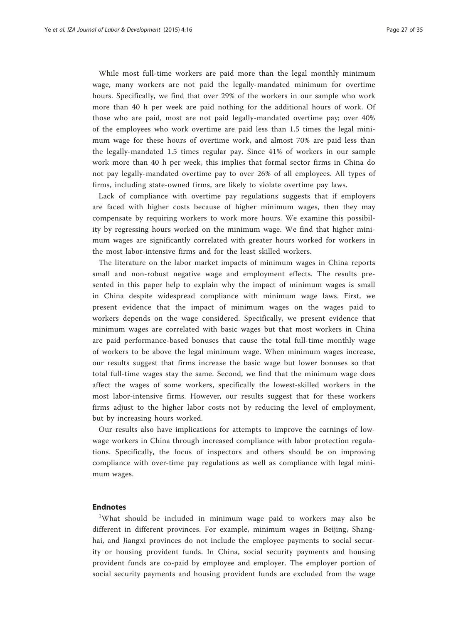While most full-time workers are paid more than the legal monthly minimum wage, many workers are not paid the legally-mandated minimum for overtime hours. Specifically, we find that over 29% of the workers in our sample who work more than 40 h per week are paid nothing for the additional hours of work. Of those who are paid, most are not paid legally-mandated overtime pay; over 40% of the employees who work overtime are paid less than 1.5 times the legal minimum wage for these hours of overtime work, and almost 70% are paid less than the legally-mandated 1.5 times regular pay. Since 41% of workers in our sample work more than 40 h per week, this implies that formal sector firms in China do not pay legally-mandated overtime pay to over 26% of all employees. All types of firms, including state-owned firms, are likely to violate overtime pay laws.

Lack of compliance with overtime pay regulations suggests that if employers are faced with higher costs because of higher minimum wages, then they may compensate by requiring workers to work more hours. We examine this possibility by regressing hours worked on the minimum wage. We find that higher minimum wages are significantly correlated with greater hours worked for workers in the most labor-intensive firms and for the least skilled workers.

The literature on the labor market impacts of minimum wages in China reports small and non-robust negative wage and employment effects. The results presented in this paper help to explain why the impact of minimum wages is small in China despite widespread compliance with minimum wage laws. First, we present evidence that the impact of minimum wages on the wages paid to workers depends on the wage considered. Specifically, we present evidence that minimum wages are correlated with basic wages but that most workers in China are paid performance-based bonuses that cause the total full-time monthly wage of workers to be above the legal minimum wage. When minimum wages increase, our results suggest that firms increase the basic wage but lower bonuses so that total full-time wages stay the same. Second, we find that the minimum wage does affect the wages of some workers, specifically the lowest-skilled workers in the most labor-intensive firms. However, our results suggest that for these workers firms adjust to the higher labor costs not by reducing the level of employment, but by increasing hours worked.

Our results also have implications for attempts to improve the earnings of lowwage workers in China through increased compliance with labor protection regulations. Specifically, the focus of inspectors and others should be on improving compliance with over-time pay regulations as well as compliance with legal minimum wages.

#### Endnotes

<sup>1</sup>What should be included in minimum wage paid to workers may also be different in different provinces. For example, minimum wages in Beijing, Shanghai, and Jiangxi provinces do not include the employee payments to social security or housing provident funds. In China, social security payments and housing provident funds are co-paid by employee and employer. The employer portion of social security payments and housing provident funds are excluded from the wage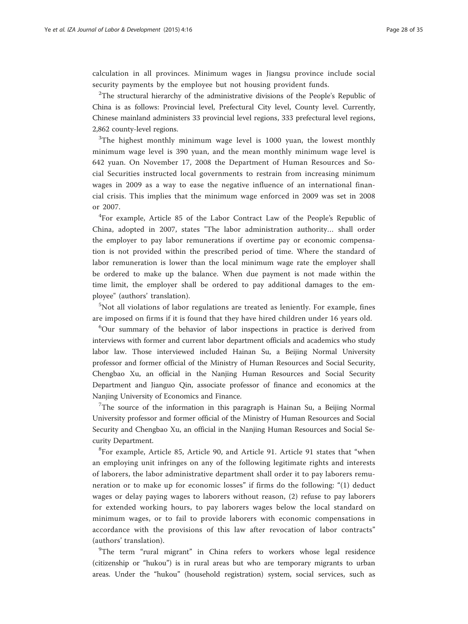calculation in all provinces. Minimum wages in Jiangsu province include social security payments by the employee but not housing provident funds.

 $2$ The structural hierarchy of the administrative divisions of the People's Republic of China is as follows: Provincial level, Prefectural City level, County level. Currently, Chinese mainland administers 33 provincial level regions, 333 prefectural level regions, 2,862 county-level regions.

 $3$ The highest monthly minimum wage level is 1000 yuan, the lowest monthly minimum wage level is 390 yuan, and the mean monthly minimum wage level is 642 yuan. On November 17, 2008 the Department of Human Resources and Social Securities instructed local governments to restrain from increasing minimum wages in 2009 as a way to ease the negative influence of an international financial crisis. This implies that the minimum wage enforced in 2009 was set in 2008 or 2007.

<sup>4</sup>For example, Article 85 of the Labor Contract Law of the People's Republic of China, adopted in 2007, states "The labor administration authority… shall order the employer to pay labor remunerations if overtime pay or economic compensation is not provided within the prescribed period of time. Where the standard of labor remuneration is lower than the local minimum wage rate the employer shall be ordered to make up the balance. When due payment is not made within the time limit, the employer shall be ordered to pay additional damages to the employee" (authors' translation).

5 Not all violations of labor regulations are treated as leniently. For example, fines are imposed on firms if it is found that they have hired children under 16 years old.

6 Our summary of the behavior of labor inspections in practice is derived from interviews with former and current labor department officials and academics who study labor law. Those interviewed included Hainan Su, a Beijing Normal University professor and former official of the Ministry of Human Resources and Social Security, Chengbao Xu, an official in the Nanjing Human Resources and Social Security Department and Jianguo Qin, associate professor of finance and economics at the Nanjing University of Economics and Finance.

<sup>7</sup>The source of the information in this paragraph is Hainan Su, a Beijing Normal University professor and former official of the Ministry of Human Resources and Social Security and Chengbao Xu, an official in the Nanjing Human Resources and Social Security Department.

<sup>8</sup>For example, Article 85, Article 90, and Article 91. Article 91 states that "when an employing unit infringes on any of the following legitimate rights and interests of laborers, the labor administrative department shall order it to pay laborers remuneration or to make up for economic losses" if firms do the following: "(1) deduct wages or delay paying wages to laborers without reason, (2) refuse to pay laborers for extended working hours, to pay laborers wages below the local standard on minimum wages, or to fail to provide laborers with economic compensations in accordance with the provisions of this law after revocation of labor contracts" (authors' translation).

<sup>9</sup>The term "rural migrant" in China refers to workers whose legal residence (citizenship or "hukou") is in rural areas but who are temporary migrants to urban areas. Under the "hukou" (household registration) system, social services, such as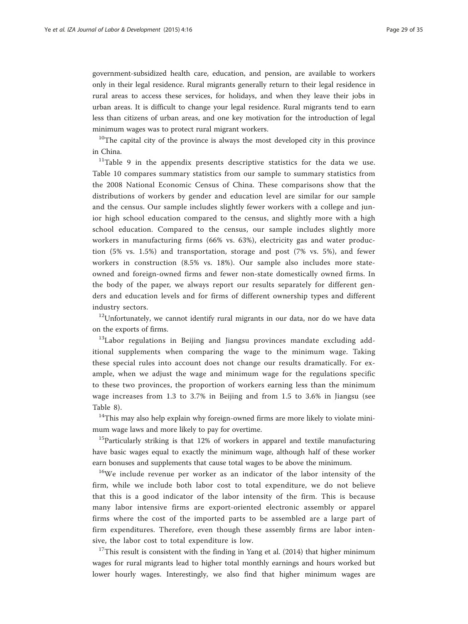government-subsidized health care, education, and pension, are available to workers only in their legal residence. Rural migrants generally return to their legal residence in rural areas to access these services, for holidays, and when they leave their jobs in urban areas. It is difficult to change your legal residence. Rural migrants tend to earn less than citizens of urban areas, and one key motivation for the introduction of legal minimum wages was to protect rural migrant workers.

 $10$ The capital city of the province is always the most developed city in this province in China.

<sup>11</sup>Table [9](#page-31-0) in the appendix presents descriptive statistics for the data we use. Table [10](#page-32-0) compares summary statistics from our sample to summary statistics from the 2008 National Economic Census of China. These comparisons show that the distributions of workers by gender and education level are similar for our sample and the census. Our sample includes slightly fewer workers with a college and junior high school education compared to the census, and slightly more with a high school education. Compared to the census, our sample includes slightly more workers in manufacturing firms (66% vs. 63%), electricity gas and water production (5% vs. 1.5%) and transportation, storage and post (7% vs. 5%), and fewer workers in construction (8.5% vs. 18%). Our sample also includes more stateowned and foreign-owned firms and fewer non-state domestically owned firms. In the body of the paper, we always report our results separately for different genders and education levels and for firms of different ownership types and different industry sectors.

 $12$ Unfortunately, we cannot identify rural migrants in our data, nor do we have data on the exports of firms.

<sup>13</sup>Labor regulations in Beijing and Jiangsu provinces mandate excluding additional supplements when comparing the wage to the minimum wage. Taking these special rules into account does not change our results dramatically. For example, when we adjust the wage and minimum wage for the regulations specific to these two provinces, the proportion of workers earning less than the minimum wage increases from 1.3 to 3.7% in Beijing and from 1.5 to 3.6% in Jiangsu (see Table [8\)](#page-29-0).

<sup>14</sup>This may also help explain why foreign-owned firms are more likely to violate minimum wage laws and more likely to pay for overtime.

 $15$ Particularly striking is that 12% of workers in apparel and textile manufacturing have basic wages equal to exactly the minimum wage, although half of these worker earn bonuses and supplements that cause total wages to be above the minimum.

<sup>16</sup>We include revenue per worker as an indicator of the labor intensity of the firm, while we include both labor cost to total expenditure, we do not believe that this is a good indicator of the labor intensity of the firm. This is because many labor intensive firms are export-oriented electronic assembly or apparel firms where the cost of the imported parts to be assembled are a large part of firm expenditures. Therefore, even though these assembly firms are labor intensive, the labor cost to total expenditure is low.

 $17$ This result is consistent with the finding in Yang et al. [\(2014\)](#page-34-0) that higher minimum wages for rural migrants lead to higher total monthly earnings and hours worked but lower hourly wages. Interestingly, we also find that higher minimum wages are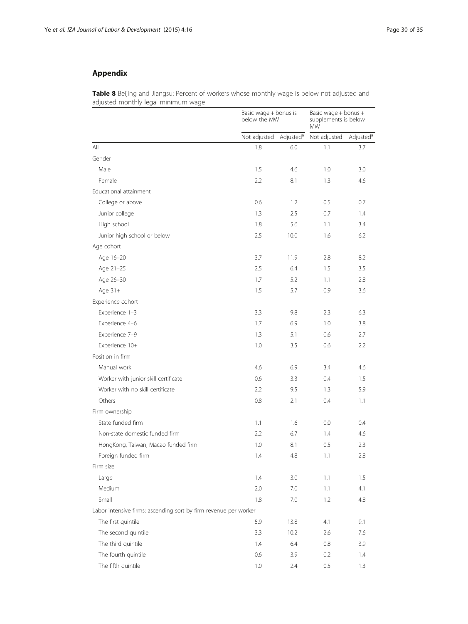## <span id="page-29-0"></span>Appendix

Table 8 Beijing and Jiangsu: Percent of workers whose monthly wage is below not adjusted and adjusted monthly legal minimum wage

|                                                                  |              | Basic wage + bonus is<br>below the MW |              | Basic wage + bonus +<br>supplements is below<br><b>MW</b> |  |
|------------------------------------------------------------------|--------------|---------------------------------------|--------------|-----------------------------------------------------------|--|
|                                                                  | Not adjusted | Adjusted <sup>a</sup>                 | Not adjusted | Adjusted <sup>a</sup>                                     |  |
| All                                                              | 1.8          | 6.0                                   | 1.1          | 3.7                                                       |  |
| Gender                                                           |              |                                       |              |                                                           |  |
| Male                                                             | 1.5          | 4.6                                   | 1.0          | 3.0                                                       |  |
| Female                                                           | 2.2          | 8.1                                   | 1.3          | 4.6                                                       |  |
| Educational attainment                                           |              |                                       |              |                                                           |  |
| College or above                                                 | 0.6          | 1.2                                   | 0.5          | 0.7                                                       |  |
| Junior college                                                   | 1.3          | 2.5                                   | 0.7          | 1.4                                                       |  |
| High school                                                      | 1.8          | 5.6                                   | 1.1          | 3.4                                                       |  |
| Junior high school or below                                      | 2.5          | 10.0                                  | 1.6          | 6.2                                                       |  |
| Age cohort                                                       |              |                                       |              |                                                           |  |
| Age 16-20                                                        | 3.7          | 11.9                                  | 2.8          | 8.2                                                       |  |
| Age 21-25                                                        | 2.5          | 6.4                                   | 1.5          | 3.5                                                       |  |
| Age 26-30                                                        | 1.7          | 5.2                                   | 1.1          | 2.8                                                       |  |
| Age 31+                                                          | 1.5          | 5.7                                   | 0.9          | 3.6                                                       |  |
| Experience cohort                                                |              |                                       |              |                                                           |  |
| Experience 1-3                                                   | 3.3          | 9.8                                   | 2.3          | 6.3                                                       |  |
| Experience 4-6                                                   | 1.7          | 6.9                                   | 1.0          | 3.8                                                       |  |
| Experience 7-9                                                   | 1.3          | 5.1                                   | 0.6          | 2.7                                                       |  |
| Experience 10+                                                   | 1.0          | 3.5                                   | 0.6          | 2.2                                                       |  |
| Position in firm                                                 |              |                                       |              |                                                           |  |
| Manual work                                                      | 4.6          | 6.9                                   | 3.4          | 4.6                                                       |  |
| Worker with junior skill certificate                             | 0.6          | 3.3                                   | 0.4          | 1.5                                                       |  |
| Worker with no skill certificate                                 | 2.2          | 9.5                                   | 1.3          | 5.9                                                       |  |
| Others                                                           | 0.8          | 2.1                                   | 0.4          | 1.1                                                       |  |
| Firm ownership                                                   |              |                                       |              |                                                           |  |
| State funded firm                                                | 1.1          | 1.6                                   | 0.0          | 0.4                                                       |  |
| Non-state domestic funded firm                                   | 2.2          | 6.7                                   | 1.4          | 4.6                                                       |  |
| HongKong, Taiwan, Macao funded firm                              | 1.0          | 8.1                                   | 0.5          | 2.3                                                       |  |
| Foreign funded firm                                              | 1.4          | 4.8                                   | 1.1          | 2.8                                                       |  |
| Firm size                                                        |              |                                       |              |                                                           |  |
| Large                                                            | 1.4          | 3.0                                   | 1.1          | 1.5                                                       |  |
| Medium                                                           | 2.0          | 7.0                                   | 1.1          | 4.1                                                       |  |
| Small                                                            | 1.8          | 7.0                                   | 1.2          | 4.8                                                       |  |
| Labor intensive firms: ascending sort by firm revenue per worker |              |                                       |              |                                                           |  |
| The first quintile                                               | 5.9          | 13.8                                  | 4.1          | 9.1                                                       |  |
| The second quintile                                              | 3.3          | 10.2                                  | 2.6          | 7.6                                                       |  |
| The third quintile                                               | 1.4          | 6.4                                   | 0.8          | 3.9                                                       |  |
| The fourth quintile                                              | 0.6          | 3.9                                   | 0.2          | 1.4                                                       |  |
| The fifth quintile                                               | 1.0          | 2.4                                   | 0.5          | 1.3                                                       |  |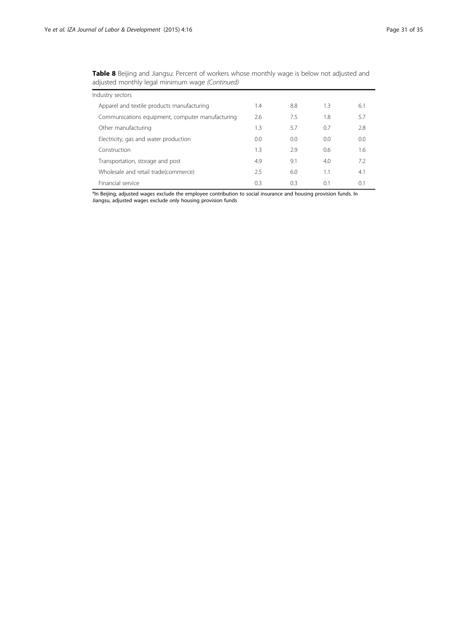| Industry sectors                                 |     |     |     |     |
|--------------------------------------------------|-----|-----|-----|-----|
| Apparel and textile products manufacturing       | 1.4 | 8.8 | 1.3 | 6.1 |
| Communications equipment, computer manufacturing | 2.6 | 7.5 | 1.8 | 5.7 |
| Other manufacturing                              | 1.3 | 5.7 | 0.7 | 2.8 |
| Electricity, gas and water production            | 0.0 | 0.0 | 0.0 | 0.0 |
| Construction                                     | 1.3 | 2.9 | 0.6 | 1.6 |
| Transportation, storage and post                 | 4.9 | 9.1 | 4.0 | 7.2 |
| Wholesale and retail trade(commerce)             | 2.5 | 6.0 | 1.1 | 4.1 |
| Financial service                                | 0.3 | 0.3 | 0.1 | 0.1 |

Table 8 Beijing and Jiangsu: Percent of workers whose monthly wage is below not adjusted and adjusted monthly legal minimum wage (Continued)

<sup>a</sup>In Beijing, adjusted wages exclude the employee contribution to social insurance and housing provision funds. In Jiangsu, adjusted wages exclude only housing provision funds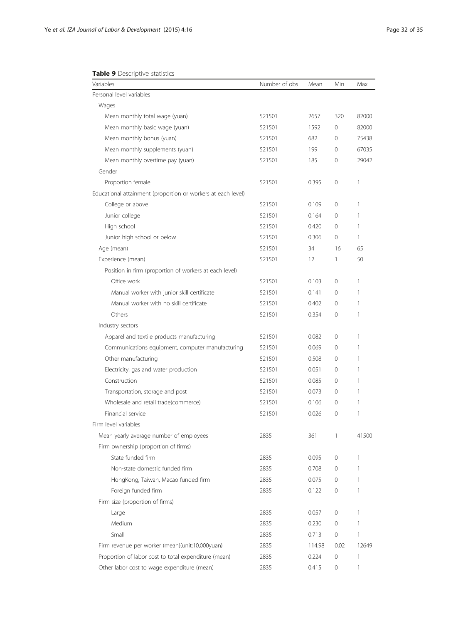## <span id="page-31-0"></span>Table 9 Descriptive statistics

| Variables                                                    | Number of obs | Mean   | Min  | Max   |
|--------------------------------------------------------------|---------------|--------|------|-------|
| Personal level variables                                     |               |        |      |       |
| Wages                                                        |               |        |      |       |
| Mean monthly total wage (yuan)                               | 521501        | 2657   | 320  | 82000 |
| Mean monthly basic wage (yuan)                               | 521501        | 1592   | 0    | 82000 |
| Mean monthly bonus (yuan)                                    | 521501        | 682    | 0    | 75438 |
| Mean monthly supplements (yuan)                              | 521501        | 199    | 0    | 67035 |
| Mean monthly overtime pay (yuan)                             | 521501        | 185    | 0    | 29042 |
| Gender                                                       |               |        |      |       |
| Proportion female                                            | 521501        | 0.395  | 0    | 1     |
| Educational attainment (proportion or workers at each level) |               |        |      |       |
| College or above                                             | 521501        | 0.109  | 0    | 1     |
| Junior college                                               | 521501        | 0.164  | 0    | 1     |
| High school                                                  | 521501        | 0.420  | 0    | 1     |
| Junior high school or below                                  | 521501        | 0.306  | 0    | 1     |
| Age (mean)                                                   | 521501        | 34     | 16   | 65    |
| Experience (mean)                                            | 521501        | 12     | 1    | 50    |
| Position in firm (proportion of workers at each level)       |               |        |      |       |
| Office work                                                  | 521501        | 0.103  | 0    | 1     |
| Manual worker with junior skill certificate                  | 521501        | 0.141  | 0    | 1     |
| Manual worker with no skill certificate                      | 521501        | 0.402  | 0    | 1     |
| Others                                                       | 521501        | 0.354  | 0    | 1     |
| Industry sectors                                             |               |        |      |       |
| Apparel and textile products manufacturing                   | 521501        | 0.082  | 0    | 1     |
| Communications equipment, computer manufacturing             | 521501        | 0.069  | 0    | 1     |
| Other manufacturing                                          | 521501        | 0.508  | 0    | 1     |
| Electricity, gas and water production                        | 521501        | 0.051  | 0    | 1     |
| Construction                                                 | 521501        | 0.085  | 0    | 1     |
| Transportation, storage and post                             | 521501        | 0.073  | 0    | 1     |
| Wholesale and retail trade(commerce)                         | 521501        | 0.106  | 0    | 1     |
| Financial service                                            | 521501        | 0.026  | 0    | 1     |
| Firm level variables                                         |               |        |      |       |
| Mean yearly average number of employees                      | 2835          | 361    | 1    | 41500 |
| Firm ownership (proportion of firms)                         |               |        |      |       |
| State funded firm                                            | 2835          | 0.095  | 0    | 1     |
| Non-state domestic funded firm                               | 2835          | 0.708  | 0    | 1     |
| HongKong, Taiwan, Macao funded firm                          | 2835          | 0.075  | 0    | 1     |
| Foreign funded firm                                          | 2835          | 0.122  | 0    | 1     |
| Firm size (proportion of firms)                              |               |        |      |       |
| Large                                                        | 2835          | 0.057  | 0    | 1     |
| Medium                                                       | 2835          | 0.230  | 0    | 1     |
| Small                                                        | 2835          | 0.713  | 0    | 1     |
| Firm revenue per worker (mean)(unit:10,000yuan)              | 2835          | 114.98 | 0.02 | 12649 |
| Proportion of labor cost to total expenditure (mean)         | 2835          | 0.224  | 0    | 1     |
| Other labor cost to wage expenditure (mean)                  | 2835          | 0.415  | 0    | 1     |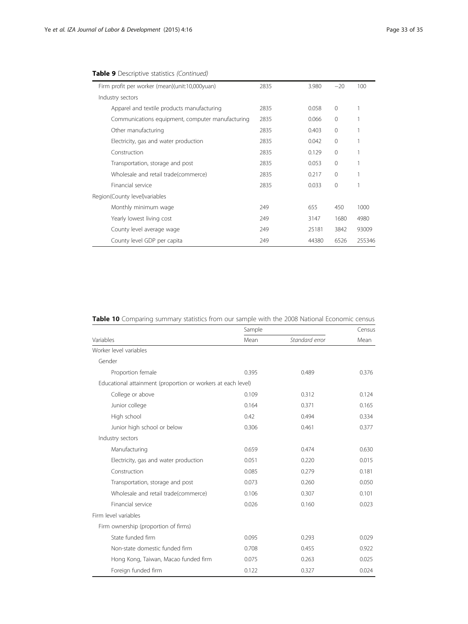<span id="page-32-0"></span>

| Firm profit per worker (mean)(unit:10,000yuan)   | 2835 | 3.980 | $-20$        | 100    |
|--------------------------------------------------|------|-------|--------------|--------|
| Industry sectors                                 |      |       |              |        |
| Apparel and textile products manufacturing       | 2835 | 0.058 | $\Omega$     |        |
| Communications equipment, computer manufacturing | 2835 | 0.066 | $\mathbf 0$  |        |
| Other manufacturing                              | 2835 | 0.403 | $\mathbf{0}$ |        |
| Electricity, gas and water production            | 2835 | 0.042 | $\circ$      |        |
| Construction                                     | 2835 | 0.129 | $\Omega$     |        |
| Transportation, storage and post                 | 2835 | 0.053 | $\circ$      |        |
| Wholesale and retail trade(commerce)             | 2835 | 0.217 | $\Omega$     |        |
| Financial service                                | 2835 | 0.033 | $\circ$      |        |
| Region(County level) variables                   |      |       |              |        |
| Monthly minimum wage                             | 249  | 655   | 450          | 1000   |
| Yearly lowest living cost                        | 249  | 3147  | 1680         | 4980   |
| County level average wage                        | 249  | 25181 | 3842         | 93009  |
| County level GDP per capita                      | 249  | 44380 | 6526         | 255346 |

|                                                              | Sample | Census         |       |
|--------------------------------------------------------------|--------|----------------|-------|
| Variables                                                    | Mean   | Standard error | Mean  |
| Worker level variables                                       |        |                |       |
| Gender                                                       |        |                |       |
| Proportion female                                            | 0.395  | 0.489          | 0.376 |
| Educational attainment (proportion or workers at each level) |        |                |       |
| College or above                                             | 0.109  | 0.312          | 0.124 |
| Junior college                                               | 0.164  | 0.371          | 0.165 |
| High school                                                  | 0.42   | 0.494          | 0.334 |
| Junior high school or below                                  | 0.306  | 0.461          | 0.377 |
| Industry sectors                                             |        |                |       |
| Manufacturing                                                | 0.659  | 0.474          | 0.630 |
| Electricity, gas and water production                        | 0.051  | 0.220          | 0.015 |
| Construction                                                 | 0.085  | 0.279          | 0.181 |
| Transportation, storage and post                             | 0.073  | 0.260          | 0.050 |
| Wholesale and retail trade(commerce)                         | 0.106  | 0.307          | 0.101 |
| Financial service                                            | 0.026  | 0.160          | 0.023 |
| Firm level variables                                         |        |                |       |
| Firm ownership (proportion of firms)                         |        |                |       |
| State funded firm                                            | 0.095  | 0.293          | 0.029 |
| Non-state domestic funded firm                               | 0.708  | 0.455          | 0.922 |
| Hong Kong, Taiwan, Macao funded firm                         | 0.075  | 0.263          | 0.025 |
| Foreign funded firm                                          | 0.122  | 0.327          | 0.024 |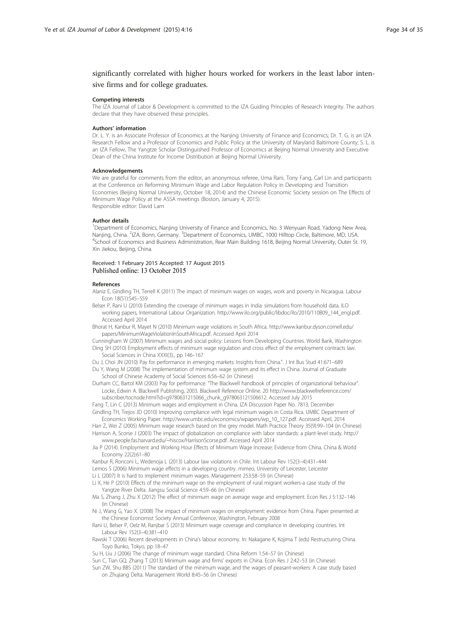## <span id="page-33-0"></span>significantly correlated with higher hours worked for workers in the least labor intensive firms and for college graduates.

#### Competing interests

The IZA Journal of Labor & Development is committed to the IZA Guiding Principles of Research Integrity. The authors declare that they have observed these principles.

#### Authors' information

Dr. L. Y. is an Associate Professor of Economics at the Nanjing University of Finance and Economics; Dr. T. G. is an IZA Research Fellow and a Professor of Economics and Public Policy at the University of Maryland Baltimore County; S. L. is an IZA Fellow, The Yangtze Scholar Distinguished Professor of Economics at Beijing Normal University and Executive Dean of the China Institute for Income Distribution at Beijing Normal University.

#### Acknowledgements

We are grateful for comments from the editor, an anonymous referee, Uma Rani, Tony Fang, Carl Lin and participants at the Conference on Reforming Minimum Wage and Labor Regulation Policy in Developing and Transition Economies (Beijing Normal University, October 18, 2014) and the Chinese Economic Society session on The Effects of Minimum Wage Policy at the ASSA meetings (Boston, January 4, 2015). Responsible editor: David Lam

#### Author details

1 Department of Economics, Nanjing University of Finance and Economics, No. 3 Wenyuan Road, Yadong New Area, Nanjing, China. <sup>2</sup>IZA, Bonn, Germany. <sup>3</sup>Department of Economics, UMBC, 1000 Hilltop Circle, Baltimore, MD, USA.<br><sup>4</sup>School of Economics and Business Administration. Bear Main Building 1618. Beijing Normal University, Oute <sup>4</sup>School of Economics and Business Administration, Rear Main Building 1618, Beijing Normal University, Outer St. 19, Xin Jiekou, Beijing, China.

#### Received: 1 February 2015 Accepted: 17 August 2015 Published online: 13 October 2015

#### References

Alaniz E, Gindling TH, Terrell K (2011) The impact of minimum wages on wages, work and poverty in Nicaragua. Labour Econ 18(S1):S45–S59

Belser P, Rani U (2010) Extending the coverage of minimum wages in India: simulations from household data. ILO working papers, International Labour Organization. [http://www.ilo.org/public/libdoc/ilo/2010/110B09\\_144\\_engl.pdf.](http://www.ilo.org/public/libdoc/ilo/2010/110B09_144_engl.pdf) Accessed April 2014

Bhorat H, Kanbur R, Mayet N (2010) Minimum wage violations in South Africa. [http://www.kanbur.dyson.cornell.edu/](http://www.kanbur.dyson.cornell.edu/papers/MinimumWageViolationInSouthAfrica.pdf) [papers/MinimumWageViolationInSouthAfrica.pdf](http://www.kanbur.dyson.cornell.edu/papers/MinimumWageViolationInSouthAfrica.pdf). Accessed April 2014

Cunningham W (2007) Minimum wages and social policy: Lessons from Developing Countries. World Bank, Washington Ding SH (2010) Employment effects of minimum wage regulation and cross effect of the employment contracts law. Social Sciences in China XXXI(3)., pp 146–167

- Du J, Choi JN (2010) Pay for performance in emerging markets: Insights from China.". J Int Bus Stud 41:671–689
- Du Y, Wang M (2008) The implementation of minimum wage system and its effect in China. Journal of Graduate School of Chinese Academy of Social Sciences 6:56–62 (in Chinese)

Durham CC, Bartol KM (2003) Pay for performance. "The Blackwell handbook of principles of organizational behaviour". Locke, Edwin A. Blackwell Publishing, 2003. Blackwell Reference Online. 20 [http://www.blackwellreference.com/](http://www.blackwellreference.com/subscriber/tocnode.html?id=g9780631215066_chunk_g978063121506612) [subscriber/tocnode.html?id=g9780631215066\\_chunk\\_g978063121506612](http://www.blackwellreference.com/subscriber/tocnode.html?id=g9780631215066_chunk_g978063121506612). Accessed July 2015

Fang T, Lin C (2013) Minimum wages and employment in China. IZA Discussion Paper No. 7813, December Gindling TH, Trejos JD (2010) Improving compliance with legal minimum wages in Costa Rica. UMBC Department of

Economics Working Paper. [http://www.umbc.edu/economics/wpapers/wp\\_10\\_127.pdf](http://www.umbc.edu/economics/wpapers/wp_10_127.pdf). Accessed April, 2014 Han Z, Wei Z (2005) Minimum wage research based on the grey model. Math Practice Theory 35(9):99–104 (in Chinese)

Harrison A, Scorse J (2003) The impact of globalization on compliance with labor standards: a plant-level study. [http://](http://www.people.fas.harvard.edu/~hiscox/HarrisonScorse.pdf) [www.people.fas.harvard.edu/~hiscox/HarrisonScorse.pdf.](http://www.people.fas.harvard.edu/~hiscox/HarrisonScorse.pdf) Accessed April 2014

Jia P (2014). Employment and Working Hour Effects of Minimum Wage Increase: Evidence from China. China & World Economy 22(2):61–80

Kanbur R, Ronconi L, Wedenoja L (2013) Labour law violations in Chile. Int Labour Rev 152(3–4):431–444 Lemos S (2006) Minimum wage effects in a developing country. mimeo, University of Leicester, Leicester

Li L (2007) It is hard to implement minimum wages. Management 253:58–59 (in Chinese)

Li X, He P (2010) Effects of the minimum wage on the employment of rural migrant workers-a case study of the Yangtze River Delta. Jiangsu Social Science 4:59–66 (in Chinese)

Ma S, Zhang J, Zhu X (2012) The effect of minimum wage on average wage and employment. Econ Res J 5:132–146 (in Chinese)

Ni J, Wang G, Yao X. (2008) The impact of minimum wages on employment: evidence from China. Paper presented at the Chinese Economist Society Annual Conference, Washington, February 2008

Rani U, Belser P, Oelz M, Ranjbar S (2013) Minimum wage coverage and compliance in developing countries. Int Labour Rev 152(3–4):381–410

Rawski T (2006) Recent developments in China's labour economy. In: Nakagane K, Kojima T (eds) Restructuring China. Toyo Bunko, Tokyo, pp 18–47

Su H, Liu J (2006) The change of minimum wage standard. China Reform 1:54–57 (in Chinese)

Sun C, Tian GQ, Zhang T (2013) Minimum wage and firms' exports in China. Econ Res J 2:42–53 (in Chinese)

Sun ZW, Shu BBS (2011) The standard of the minimum wage, and the wages of peasant-workers: A case study based on Zhujiang Delta. Management World 8:45–56 (in Chinese)